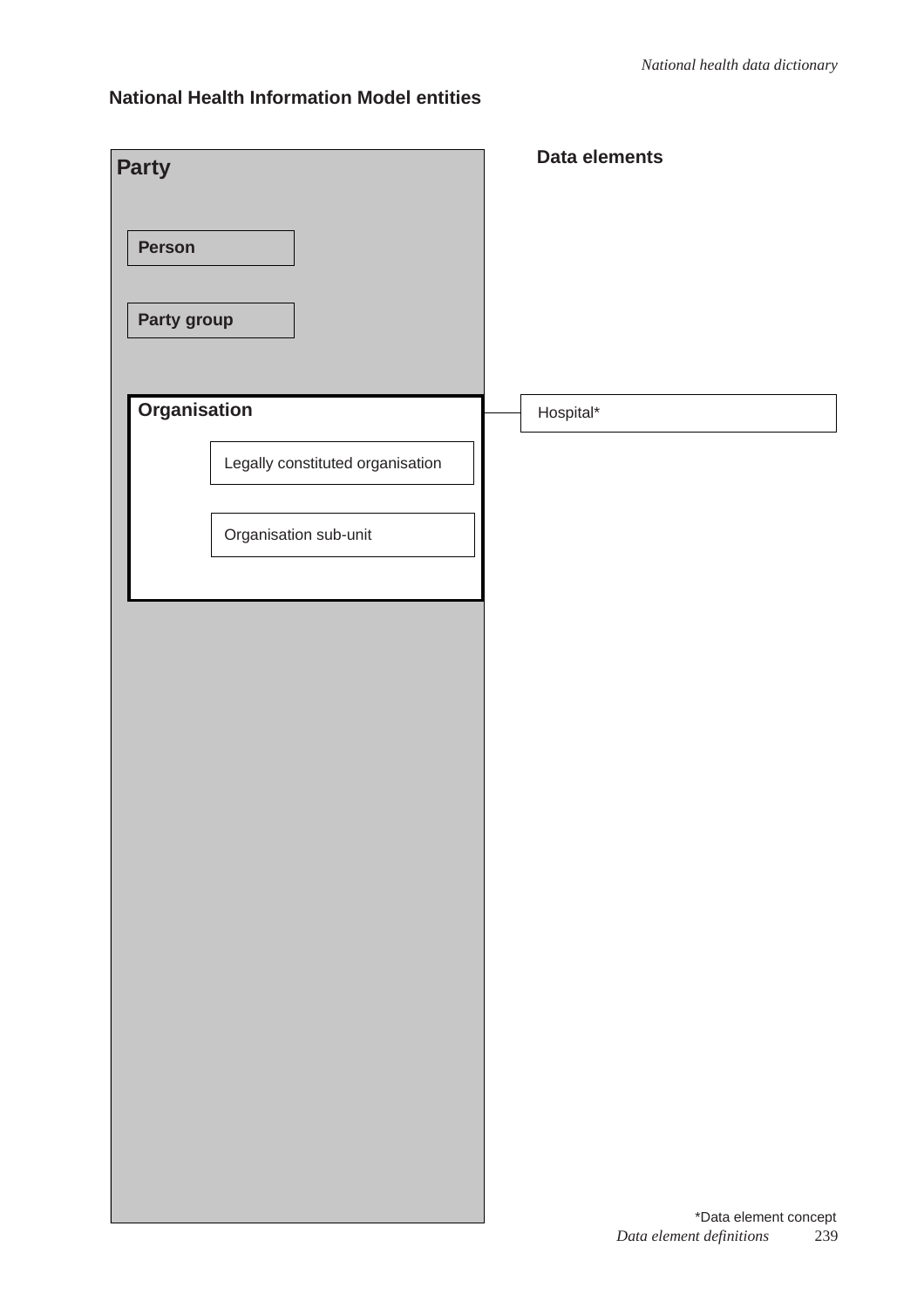### **National Health Information Model entities**

|                                  | Data elements                   |
|----------------------------------|---------------------------------|
| <b>Party</b>                     |                                 |
|                                  |                                 |
| Person                           |                                 |
|                                  |                                 |
|                                  |                                 |
| Party group                      |                                 |
|                                  |                                 |
|                                  |                                 |
| Organisation                     | Hospital*                       |
|                                  |                                 |
| Legally constituted organisation |                                 |
|                                  |                                 |
|                                  |                                 |
| Organisation sub-unit            |                                 |
|                                  |                                 |
|                                  |                                 |
|                                  |                                 |
|                                  |                                 |
|                                  |                                 |
|                                  |                                 |
|                                  |                                 |
|                                  |                                 |
|                                  |                                 |
|                                  |                                 |
|                                  |                                 |
|                                  |                                 |
|                                  |                                 |
|                                  |                                 |
|                                  |                                 |
|                                  |                                 |
|                                  |                                 |
|                                  |                                 |
|                                  |                                 |
|                                  |                                 |
|                                  |                                 |
|                                  |                                 |
|                                  |                                 |
|                                  | *Data element concept           |
|                                  | Data element definitions<br>239 |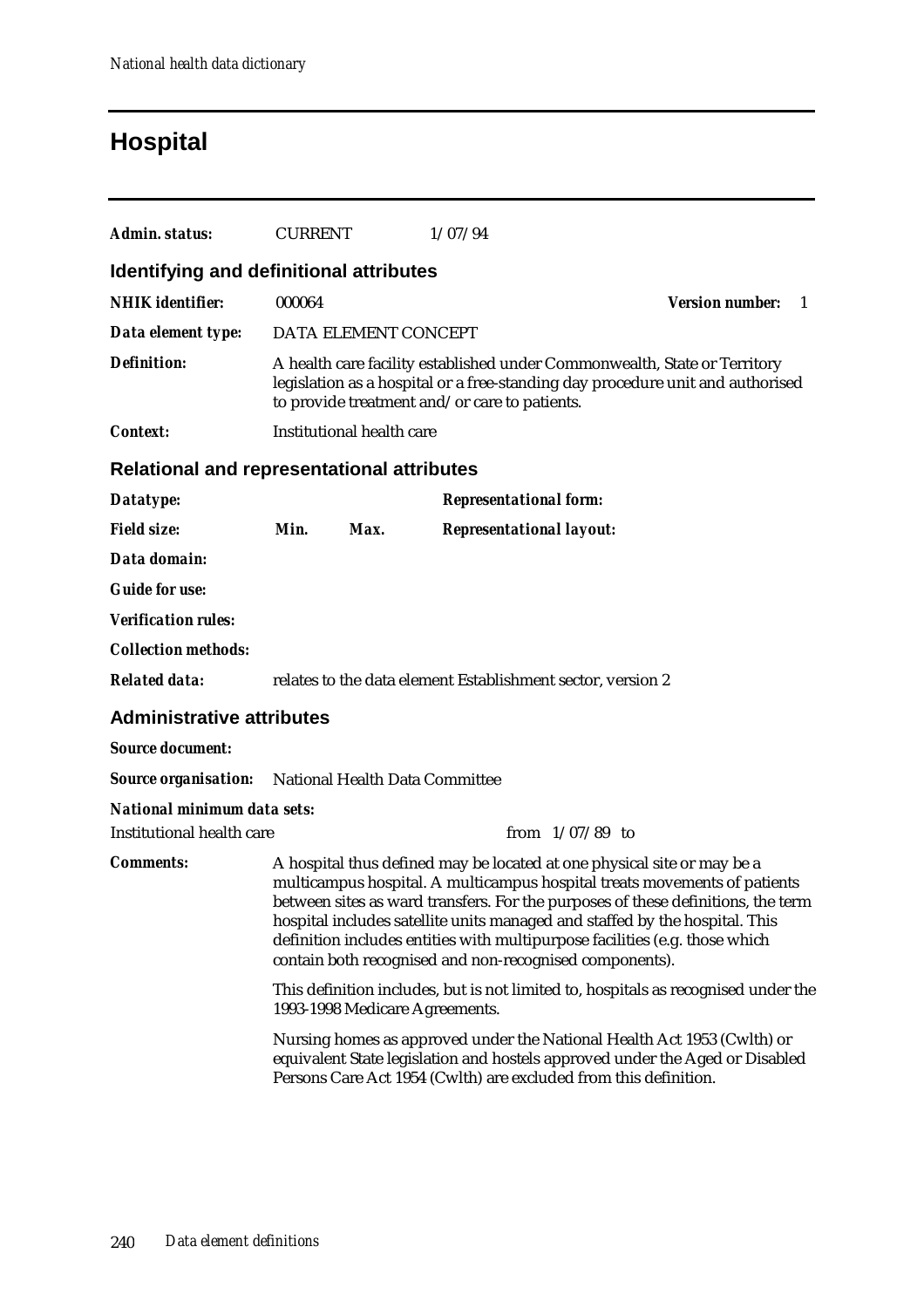# **Hospital**

| Admin. status:                                    | <b>CURRENT</b> |                                | 1/07/94                                                                                                                                                                                                                                                                                          |                                                                                                                                                               |
|---------------------------------------------------|----------------|--------------------------------|--------------------------------------------------------------------------------------------------------------------------------------------------------------------------------------------------------------------------------------------------------------------------------------------------|---------------------------------------------------------------------------------------------------------------------------------------------------------------|
| Identifying and definitional attributes           |                |                                |                                                                                                                                                                                                                                                                                                  |                                                                                                                                                               |
| <b>NHIK</b> identifier:                           | 000064         |                                |                                                                                                                                                                                                                                                                                                  | <b>Version number:</b><br>$\overline{1}$                                                                                                                      |
| Data element type:                                |                | DATA ELEMENT CONCEPT           |                                                                                                                                                                                                                                                                                                  |                                                                                                                                                               |
| <b>Definition:</b>                                |                |                                | A health care facility established under Commonwealth, State or Territory<br>to provide treatment and/or care to patients.                                                                                                                                                                       | legislation as a hospital or a free-standing day procedure unit and authorised                                                                                |
| Context:                                          |                | Institutional health care      |                                                                                                                                                                                                                                                                                                  |                                                                                                                                                               |
| <b>Relational and representational attributes</b> |                |                                |                                                                                                                                                                                                                                                                                                  |                                                                                                                                                               |
| Datatype:                                         |                |                                | <b>Representational form:</b>                                                                                                                                                                                                                                                                    |                                                                                                                                                               |
| <b>Field size:</b>                                | Min.           | Max.                           | <b>Representational layout:</b>                                                                                                                                                                                                                                                                  |                                                                                                                                                               |
| Data domain:                                      |                |                                |                                                                                                                                                                                                                                                                                                  |                                                                                                                                                               |
| <b>Guide for use:</b>                             |                |                                |                                                                                                                                                                                                                                                                                                  |                                                                                                                                                               |
| <b>Verification rules:</b>                        |                |                                |                                                                                                                                                                                                                                                                                                  |                                                                                                                                                               |
| <b>Collection methods:</b>                        |                |                                |                                                                                                                                                                                                                                                                                                  |                                                                                                                                                               |
| <b>Related data:</b>                              |                |                                | relates to the data element Establishment sector, version 2                                                                                                                                                                                                                                      |                                                                                                                                                               |
| <b>Administrative attributes</b>                  |                |                                |                                                                                                                                                                                                                                                                                                  |                                                                                                                                                               |
| <b>Source document:</b>                           |                |                                |                                                                                                                                                                                                                                                                                                  |                                                                                                                                                               |
| <b>Source organisation:</b>                       |                | National Health Data Committee |                                                                                                                                                                                                                                                                                                  |                                                                                                                                                               |
| National minimum data sets:                       |                |                                |                                                                                                                                                                                                                                                                                                  |                                                                                                                                                               |
| <b>Institutional health care</b>                  |                |                                | from $1/07/89$ to                                                                                                                                                                                                                                                                                |                                                                                                                                                               |
| <b>Comments:</b>                                  |                |                                | A hospital thus defined may be located at one physical site or may be a<br>hospital includes satellite units managed and staffed by the hospital. This<br>definition includes entities with multipurpose facilities (e.g. those which<br>contain both recognised and non-recognised components). | multicampus hospital. A multicampus hospital treats movements of patients<br>between sites as ward transfers. For the purposes of these definitions, the term |
|                                                   |                | 1993-1998 Medicare Agreements. |                                                                                                                                                                                                                                                                                                  | This definition includes, but is not limited to, hospitals as recognised under the                                                                            |
|                                                   |                |                                | Persons Care Act 1954 (Cwlth) are excluded from this definition.                                                                                                                                                                                                                                 | Nursing homes as approved under the National Health Act 1953 (Cwlth) or<br>equivalent State legislation and hostels approved under the Aged or Disabled       |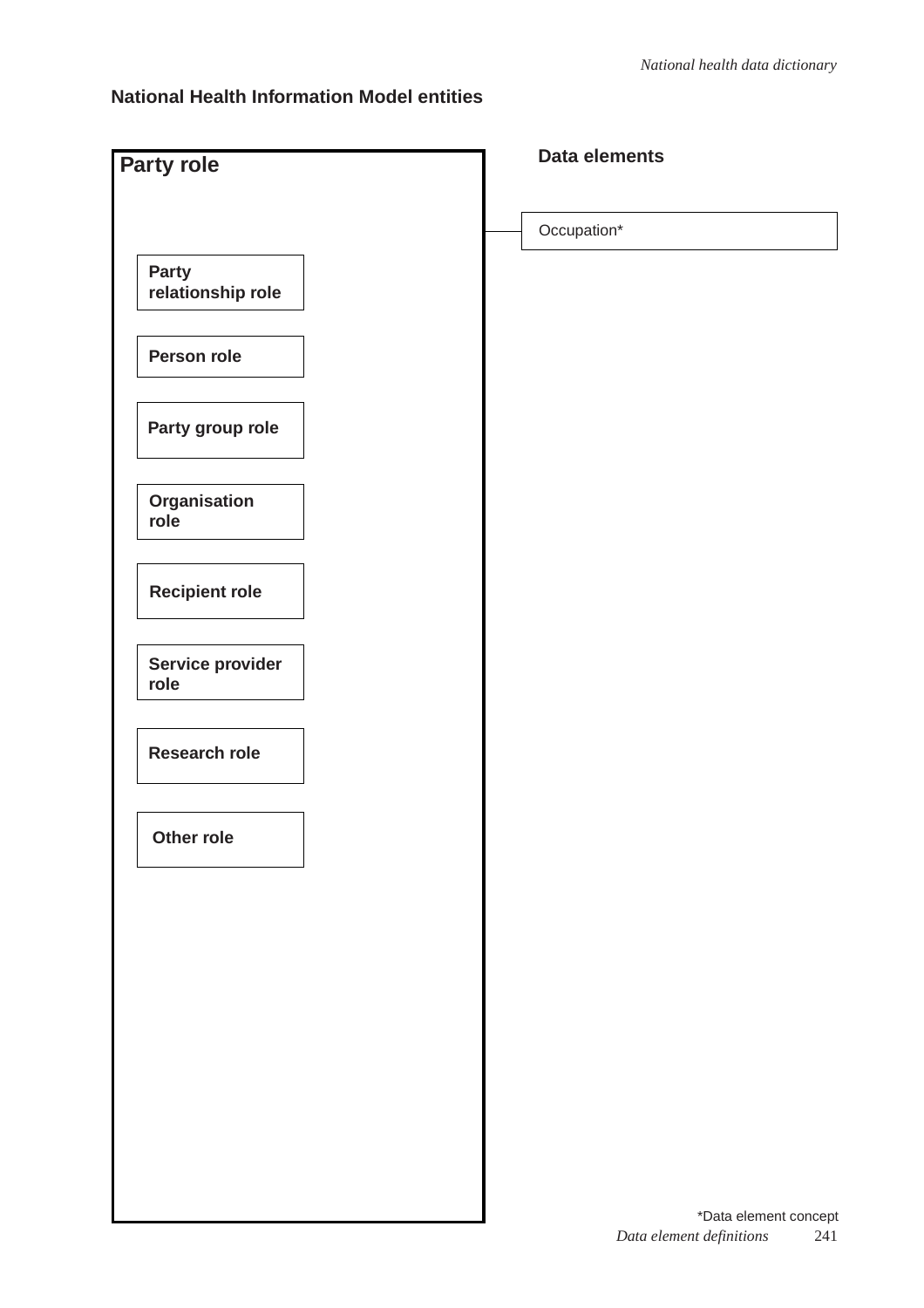### **National Health Information Model entities**

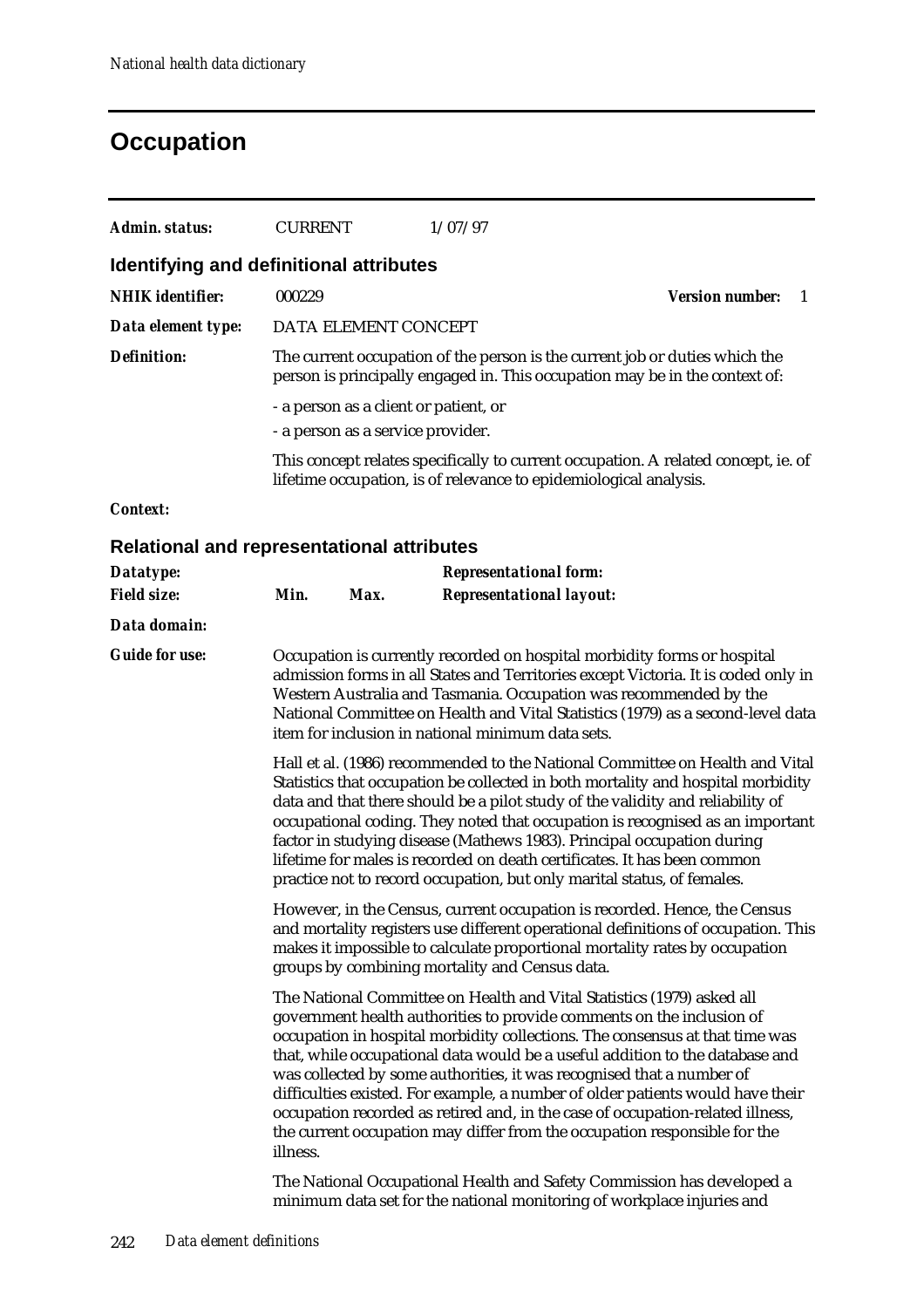### **Occupation**

| Admin. status:                                    | <b>CURRENT</b>                                                                                                                                                                                                                                                                                                                                                                                                                                                                                                                                                       |      | 1/07/97                                                           |                                                                                                                                                                                                                                               |  |  |  |
|---------------------------------------------------|----------------------------------------------------------------------------------------------------------------------------------------------------------------------------------------------------------------------------------------------------------------------------------------------------------------------------------------------------------------------------------------------------------------------------------------------------------------------------------------------------------------------------------------------------------------------|------|-------------------------------------------------------------------|-----------------------------------------------------------------------------------------------------------------------------------------------------------------------------------------------------------------------------------------------|--|--|--|
| <b>Identifying and definitional attributes</b>    |                                                                                                                                                                                                                                                                                                                                                                                                                                                                                                                                                                      |      |                                                                   |                                                                                                                                                                                                                                               |  |  |  |
| <b>NHIK</b> identifier:                           | 000229                                                                                                                                                                                                                                                                                                                                                                                                                                                                                                                                                               |      |                                                                   | <b>Version number:</b><br>-1                                                                                                                                                                                                                  |  |  |  |
| Data element type:                                | DATA ELEMENT CONCEPT                                                                                                                                                                                                                                                                                                                                                                                                                                                                                                                                                 |      |                                                                   |                                                                                                                                                                                                                                               |  |  |  |
| <b>Definition:</b>                                |                                                                                                                                                                                                                                                                                                                                                                                                                                                                                                                                                                      |      |                                                                   | The current occupation of the person is the current job or duties which the<br>person is principally engaged in. This occupation may be in the context of:                                                                                    |  |  |  |
|                                                   | - a person as a client or patient, or                                                                                                                                                                                                                                                                                                                                                                                                                                                                                                                                |      |                                                                   |                                                                                                                                                                                                                                               |  |  |  |
|                                                   | - a person as a service provider.                                                                                                                                                                                                                                                                                                                                                                                                                                                                                                                                    |      |                                                                   |                                                                                                                                                                                                                                               |  |  |  |
|                                                   |                                                                                                                                                                                                                                                                                                                                                                                                                                                                                                                                                                      |      | lifetime occupation, is of relevance to epidemiological analysis. | This concept relates specifically to current occupation. A related concept, ie. of                                                                                                                                                            |  |  |  |
| <b>Context:</b>                                   |                                                                                                                                                                                                                                                                                                                                                                                                                                                                                                                                                                      |      |                                                                   |                                                                                                                                                                                                                                               |  |  |  |
| <b>Relational and representational attributes</b> |                                                                                                                                                                                                                                                                                                                                                                                                                                                                                                                                                                      |      |                                                                   |                                                                                                                                                                                                                                               |  |  |  |
| Datatype:                                         |                                                                                                                                                                                                                                                                                                                                                                                                                                                                                                                                                                      |      | <b>Representational form:</b>                                     |                                                                                                                                                                                                                                               |  |  |  |
| <b>Field size:</b>                                | Min.                                                                                                                                                                                                                                                                                                                                                                                                                                                                                                                                                                 | Max. | <b>Representational layout:</b>                                   |                                                                                                                                                                                                                                               |  |  |  |
| Data domain:                                      |                                                                                                                                                                                                                                                                                                                                                                                                                                                                                                                                                                      |      |                                                                   |                                                                                                                                                                                                                                               |  |  |  |
| <b>Guide for use:</b>                             | Occupation is currently recorded on hospital morbidity forms or hospital<br>admission forms in all States and Territories except Victoria. It is coded only in<br>Western Australia and Tasmania. Occupation was recommended by the<br>National Committee on Health and Vital Statistics (1979) as a second-level data<br>item for inclusion in national minimum data sets.                                                                                                                                                                                          |      |                                                                   |                                                                                                                                                                                                                                               |  |  |  |
|                                                   | Hall et al. (1986) recommended to the National Committee on Health and Vital<br>Statistics that occupation be collected in both mortality and hospital morbidity<br>data and that there should be a pilot study of the validity and reliability of<br>occupational coding. They noted that occupation is recognised as an important<br>factor in studying disease (Mathews 1983). Principal occupation during<br>lifetime for males is recorded on death certificates. It has been common<br>practice not to record occupation, but only marital status, of females. |      |                                                                   |                                                                                                                                                                                                                                               |  |  |  |
|                                                   |                                                                                                                                                                                                                                                                                                                                                                                                                                                                                                                                                                      |      | groups by combining mortality and Census data.                    | However, in the Census, current occupation is recorded. Hence, the Census<br>and mortality registers use different operational definitions of occupation. This<br>makes it impossible to calculate proportional mortality rates by occupation |  |  |  |
|                                                   |                                                                                                                                                                                                                                                                                                                                                                                                                                                                                                                                                                      |      |                                                                   | The National Committee on Health and Vital Statistics (1979) asked all                                                                                                                                                                        |  |  |  |

government health authorities to provide comments on the inclusion of occupation in hospital morbidity collections. The consensus at that time was that, while occupational data would be a useful addition to the database and was collected by some authorities, it was recognised that a number of difficulties existed. For example, a number of older patients would have their occupation recorded as retired and, in the case of occupation-related illness, the current occupation may differ from the occupation responsible for the illness.

The National Occupational Health and Safety Commission has developed a minimum data set for the national monitoring of workplace injuries and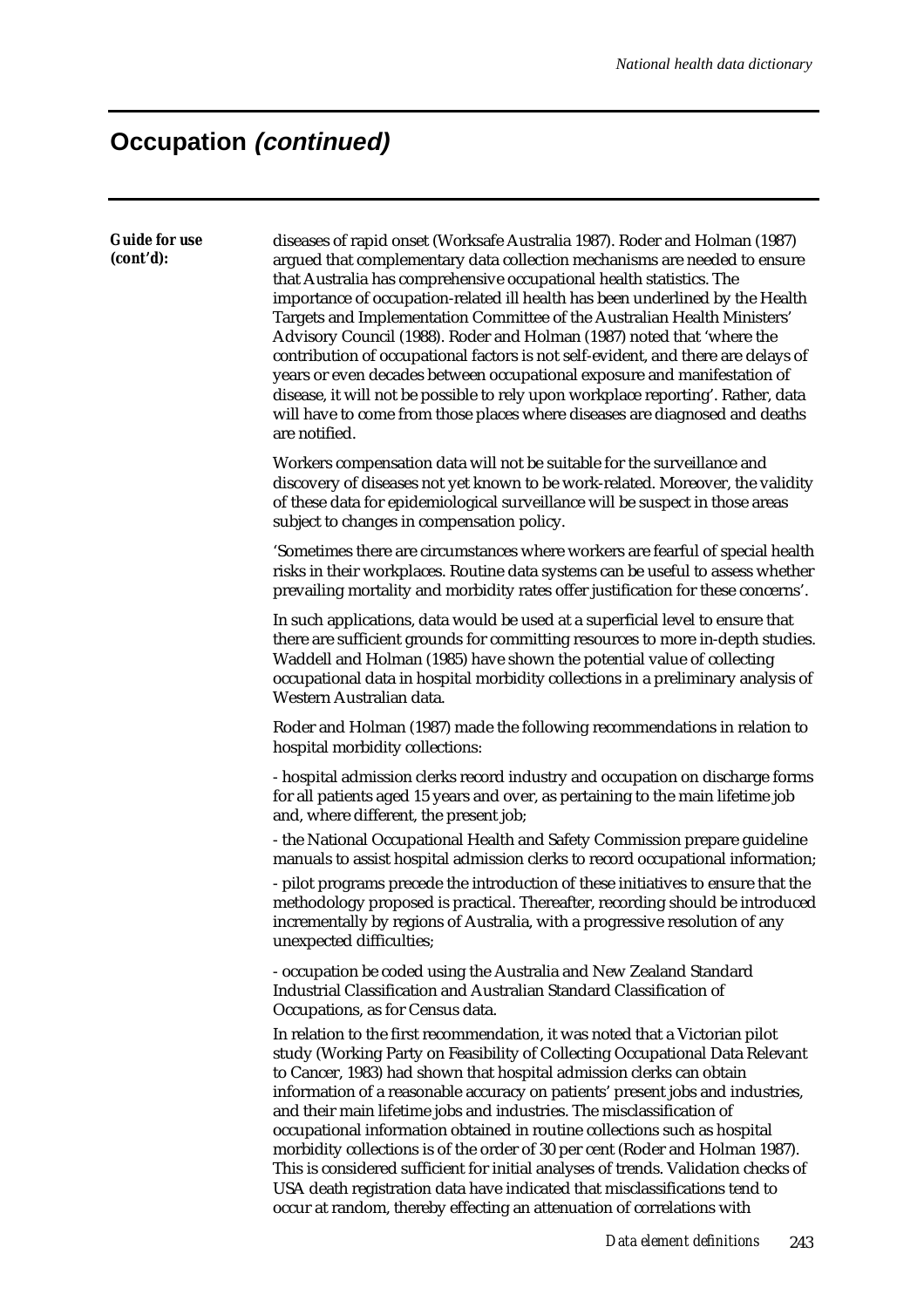| <b>Guide for use</b><br>(cont'd): | diseases of rapid onset (Worksafe Australia 1987). Roder and Holman (1987)<br>argued that complementary data collection mechanisms are needed to ensure<br>that Australia has comprehensive occupational health statistics. The<br>importance of occupation-related ill health has been underlined by the Health<br>Targets and Implementation Committee of the Australian Health Ministers'<br>Advisory Council (1988). Roder and Holman (1987) noted that 'where the<br>contribution of occupational factors is not self-evident, and there are delays of<br>years or even decades between occupational exposure and manifestation of<br>disease, it will not be possible to rely upon workplace reporting'. Rather, data<br>will have to come from those places where diseases are diagnosed and deaths<br>are notified. |
|-----------------------------------|-----------------------------------------------------------------------------------------------------------------------------------------------------------------------------------------------------------------------------------------------------------------------------------------------------------------------------------------------------------------------------------------------------------------------------------------------------------------------------------------------------------------------------------------------------------------------------------------------------------------------------------------------------------------------------------------------------------------------------------------------------------------------------------------------------------------------------|
|                                   | Workers compensation data will not be suitable for the surveillance and<br>discovery of diseases not yet known to be work-related. Moreover, the validity<br>of these data for epidemiological surveillance will be suspect in those areas<br>subject to changes in compensation policy.                                                                                                                                                                                                                                                                                                                                                                                                                                                                                                                                    |
|                                   | 'Sometimes there are circumstances where workers are fearful of special health<br>risks in their workplaces. Routine data systems can be useful to assess whether<br>prevailing mortality and morbidity rates offer justification for these concerns'.                                                                                                                                                                                                                                                                                                                                                                                                                                                                                                                                                                      |
|                                   | In such applications, data would be used at a superficial level to ensure that<br>there are sufficient grounds for committing resources to more in-depth studies.<br>Waddell and Holman (1985) have shown the potential value of collecting<br>occupational data in hospital morbidity collections in a preliminary analysis of<br>Western Australian data.                                                                                                                                                                                                                                                                                                                                                                                                                                                                 |
|                                   | Roder and Holman (1987) made the following recommendations in relation to<br>hospital morbidity collections:                                                                                                                                                                                                                                                                                                                                                                                                                                                                                                                                                                                                                                                                                                                |
|                                   | - hospital admission clerks record industry and occupation on discharge forms<br>for all patients aged 15 years and over, as pertaining to the main lifetime job<br>and, where different, the present job;                                                                                                                                                                                                                                                                                                                                                                                                                                                                                                                                                                                                                  |
|                                   | - the National Occupational Health and Safety Commission prepare guideline<br>manuals to assist hospital admission clerks to record occupational information;                                                                                                                                                                                                                                                                                                                                                                                                                                                                                                                                                                                                                                                               |
|                                   | - pilot programs precede the introduction of these initiatives to ensure that the<br>methodology proposed is practical. Thereafter, recording should be introduced<br>incrementally by regions of Australia, with a progressive resolution of any<br>unexpected difficulties;                                                                                                                                                                                                                                                                                                                                                                                                                                                                                                                                               |
|                                   | - occupation be coded using the Australia and New Zealand Standard<br>Industrial Classification and Australian Standard Classification of<br>Occupations, as for Census data.                                                                                                                                                                                                                                                                                                                                                                                                                                                                                                                                                                                                                                               |
|                                   | In relation to the first recommendation, it was noted that a Victorian pilot<br>study (Working Party on Feasibility of Collecting Occupational Data Relevant<br>to Cancer, 1983) had shown that hospital admission clerks can obtain<br>information of a reasonable accuracy on patients' present jobs and industries,<br>and their main lifetime jobs and industries. The misclassification of<br>occupational information obtained in routine collections such as hospital<br>morbidity collections is of the order of 30 per cent (Roder and Holman 1987).<br>This is considered sufficient for initial analyses of trends. Validation checks of<br>USA death registration data have indicated that misclassifications tend to<br>occur at random, thereby effecting an attenuation of correlations with                 |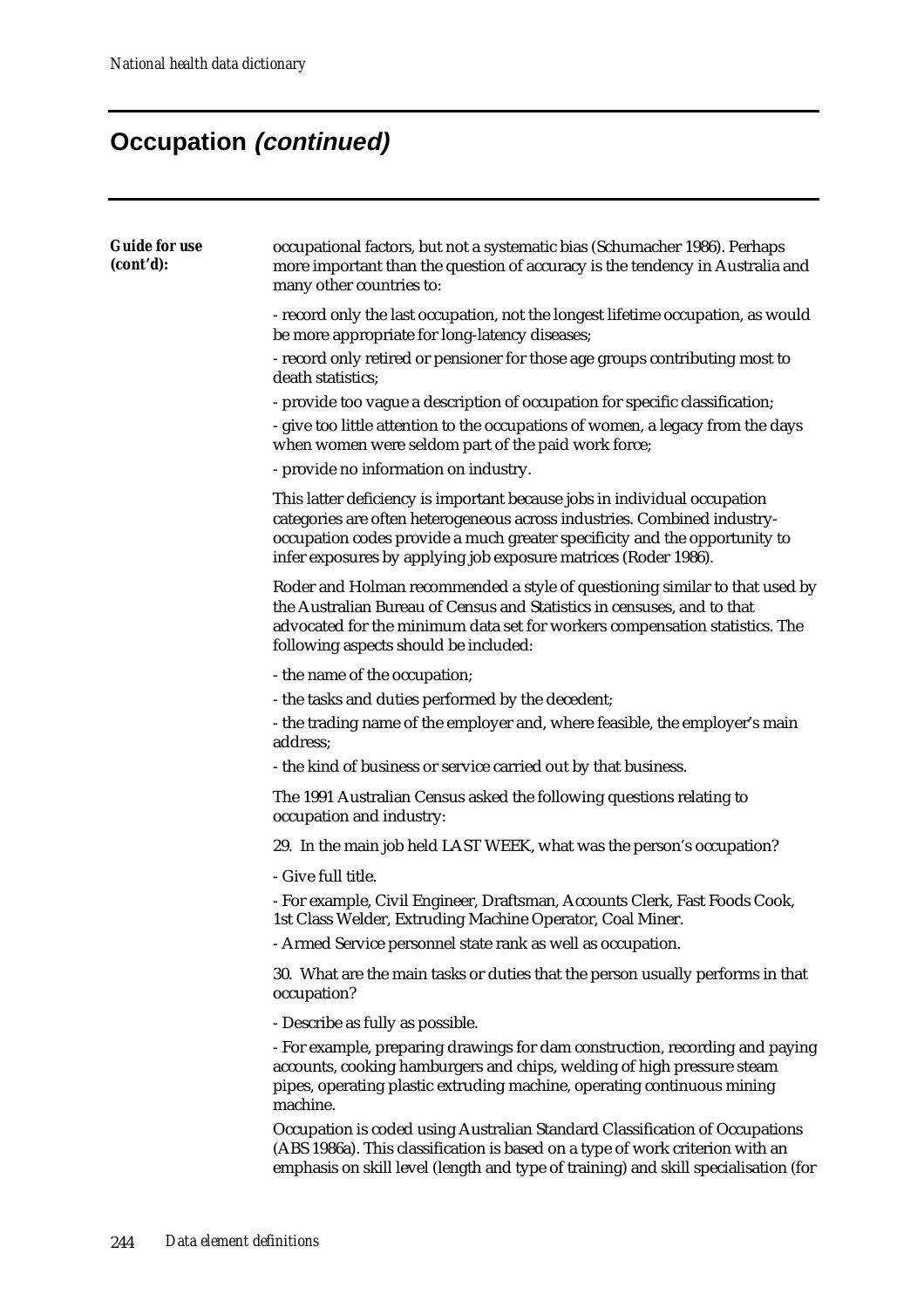| <b>Guide for use</b><br>(cont'd): | occupational factors, but not a systematic bias (Schumacher 1986). Perhaps<br>more important than the question of accuracy is the tendency in Australia and<br>many other countries to:                                                                                                                |
|-----------------------------------|--------------------------------------------------------------------------------------------------------------------------------------------------------------------------------------------------------------------------------------------------------------------------------------------------------|
|                                   | - record only the last occupation, not the longest lifetime occupation, as would<br>be more appropriate for long-latency diseases;                                                                                                                                                                     |
|                                   | - record only retired or pensioner for those age groups contributing most to<br>death statistics;                                                                                                                                                                                                      |
|                                   | - provide too vague a description of occupation for specific classification;                                                                                                                                                                                                                           |
|                                   | - give too little attention to the occupations of women, a legacy from the days<br>when women were seldom part of the paid work force;                                                                                                                                                                 |
|                                   | - provide no information on industry.                                                                                                                                                                                                                                                                  |
|                                   | This latter deficiency is important because jobs in individual occupation<br>categories are often heterogeneous across industries. Combined industry-<br>occupation codes provide a much greater specificity and the opportunity to<br>infer exposures by applying job exposure matrices (Roder 1986). |
|                                   | Roder and Holman recommended a style of questioning similar to that used by<br>the Australian Bureau of Census and Statistics in censuses, and to that<br>advocated for the minimum data set for workers compensation statistics. The<br>following aspects should be included:                         |
|                                   | - the name of the occupation;                                                                                                                                                                                                                                                                          |
|                                   | - the tasks and duties performed by the decedent;                                                                                                                                                                                                                                                      |
|                                   | - the trading name of the employer and, where feasible, the employer's main<br>address;                                                                                                                                                                                                                |
|                                   | - the kind of business or service carried out by that business.                                                                                                                                                                                                                                        |
|                                   | The 1991 Australian Census asked the following questions relating to<br>occupation and industry:                                                                                                                                                                                                       |
|                                   | 29. In the main job held LAST WEEK, what was the person's occupation?                                                                                                                                                                                                                                  |
|                                   | - Give full title.                                                                                                                                                                                                                                                                                     |
|                                   | - For example, Civil Engineer, Draftsman, Accounts Clerk, Fast Foods Cook,<br>1st Class Welder, Extruding Machine Operator, Coal Miner.                                                                                                                                                                |
|                                   | - Armed Service personnel state rank as well as occupation.                                                                                                                                                                                                                                            |
|                                   | 30. What are the main tasks or duties that the person usually performs in that<br>occupation?                                                                                                                                                                                                          |
|                                   | - Describe as fully as possible.                                                                                                                                                                                                                                                                       |
|                                   | - For example, preparing drawings for dam construction, recording and paying<br>accounts, cooking hamburgers and chips, welding of high pressure steam<br>pipes, operating plastic extruding machine, operating continuous mining<br>machine.                                                          |
|                                   | Occupation is coded using Australian Standard Classification of Occupations<br>(ABS 1986a). This classification is based on a type of work criterion with an<br>emphasis on skill level (length and type of training) and skill specialisation (for                                                    |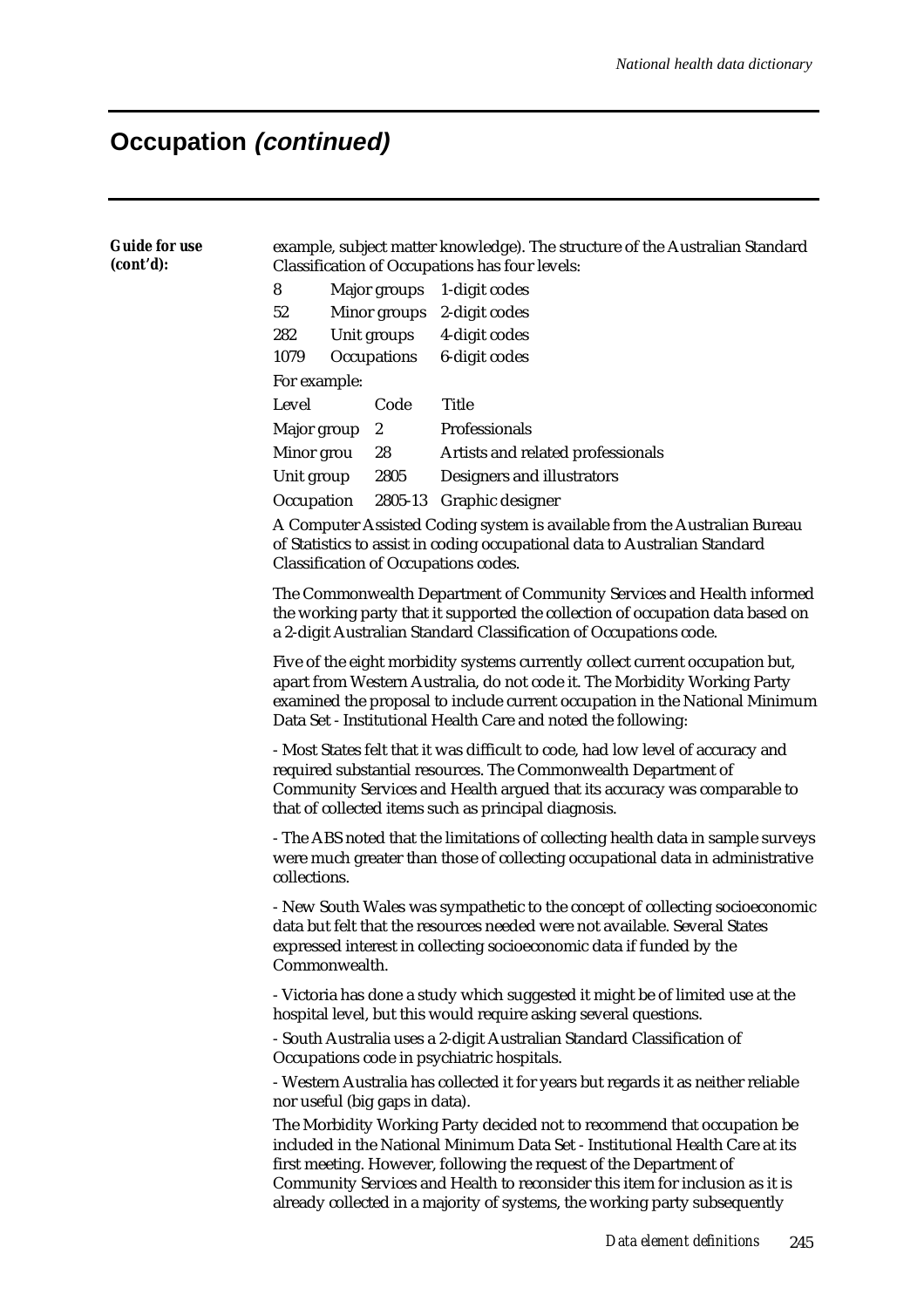| <b>Guide for use</b><br>(cont'd): | example, subject matter knowledge). The structure of the Australian Standard<br>Classification of Occupations has four levels:                                                                                                                                                                                                                                                              |  |                                |                                                                                   |  |  |  |  |
|-----------------------------------|---------------------------------------------------------------------------------------------------------------------------------------------------------------------------------------------------------------------------------------------------------------------------------------------------------------------------------------------------------------------------------------------|--|--------------------------------|-----------------------------------------------------------------------------------|--|--|--|--|
|                                   | 8<br>Major groups                                                                                                                                                                                                                                                                                                                                                                           |  |                                | 1-digit codes                                                                     |  |  |  |  |
|                                   | 52                                                                                                                                                                                                                                                                                                                                                                                          |  | Minor groups                   | 2-digit codes                                                                     |  |  |  |  |
|                                   | 282                                                                                                                                                                                                                                                                                                                                                                                         |  | Unit groups                    | 4-digit codes                                                                     |  |  |  |  |
|                                   | 1079                                                                                                                                                                                                                                                                                                                                                                                        |  | Occupations                    | 6-digit codes                                                                     |  |  |  |  |
|                                   | For example:                                                                                                                                                                                                                                                                                                                                                                                |  |                                |                                                                                   |  |  |  |  |
|                                   | Level                                                                                                                                                                                                                                                                                                                                                                                       |  | Code                           | <b>Title</b>                                                                      |  |  |  |  |
|                                   | Major group                                                                                                                                                                                                                                                                                                                                                                                 |  | 2                              | Professionals                                                                     |  |  |  |  |
|                                   | Minor grou                                                                                                                                                                                                                                                                                                                                                                                  |  | 28                             | Artists and related professionals                                                 |  |  |  |  |
|                                   | Unit group                                                                                                                                                                                                                                                                                                                                                                                  |  | 2805                           | Designers and illustrators                                                        |  |  |  |  |
|                                   | Occupation                                                                                                                                                                                                                                                                                                                                                                                  |  |                                | 2805-13 Graphic designer                                                          |  |  |  |  |
|                                   | A Computer Assisted Coding system is available from the Australian Bureau<br>of Statistics to assist in coding occupational data to Australian Standard<br><b>Classification of Occupations codes.</b>                                                                                                                                                                                      |  |                                |                                                                                   |  |  |  |  |
|                                   | The Commonwealth Department of Community Services and Health informed<br>the working party that it supported the collection of occupation data based on<br>a 2-digit Australian Standard Classification of Occupations code.                                                                                                                                                                |  |                                |                                                                                   |  |  |  |  |
|                                   | Five of the eight morbidity systems currently collect current occupation but,<br>apart from Western Australia, do not code it. The Morbidity Working Party<br>examined the proposal to include current occupation in the National Minimum<br>Data Set - Institutional Health Care and noted the following:                                                                                  |  |                                |                                                                                   |  |  |  |  |
|                                   | - Most States felt that it was difficult to code, had low level of accuracy and<br>required substantial resources. The Commonwealth Department of<br>Community Services and Health argued that its accuracy was comparable to<br>that of collected items such as principal diagnosis.                                                                                                       |  |                                |                                                                                   |  |  |  |  |
|                                   | - The ABS noted that the limitations of collecting health data in sample surveys<br>were much greater than those of collecting occupational data in administrative<br>collections.                                                                                                                                                                                                          |  |                                |                                                                                   |  |  |  |  |
|                                   | - New South Wales was sympathetic to the concept of collecting socioeconomic<br>data but felt that the resources needed were not available. Several States<br>expressed interest in collecting socioeconomic data if funded by the<br>Commonwealth.                                                                                                                                         |  |                                |                                                                                   |  |  |  |  |
|                                   | - Victoria has done a study which suggested it might be of limited use at the<br>hospital level, but this would require asking several questions.                                                                                                                                                                                                                                           |  |                                |                                                                                   |  |  |  |  |
|                                   | - South Australia uses a 2-digit Australian Standard Classification of<br>Occupations code in psychiatric hospitals.                                                                                                                                                                                                                                                                        |  |                                |                                                                                   |  |  |  |  |
|                                   |                                                                                                                                                                                                                                                                                                                                                                                             |  | nor useful (big gaps in data). | - Western Australia has collected it for years but regards it as neither reliable |  |  |  |  |
|                                   | The Morbidity Working Party decided not to recommend that occupation be<br>included in the National Minimum Data Set - Institutional Health Care at its<br>first meeting. However, following the request of the Department of<br>Community Services and Health to reconsider this item for inclusion as it is<br>already collected in a majority of systems, the working party subsequently |  |                                |                                                                                   |  |  |  |  |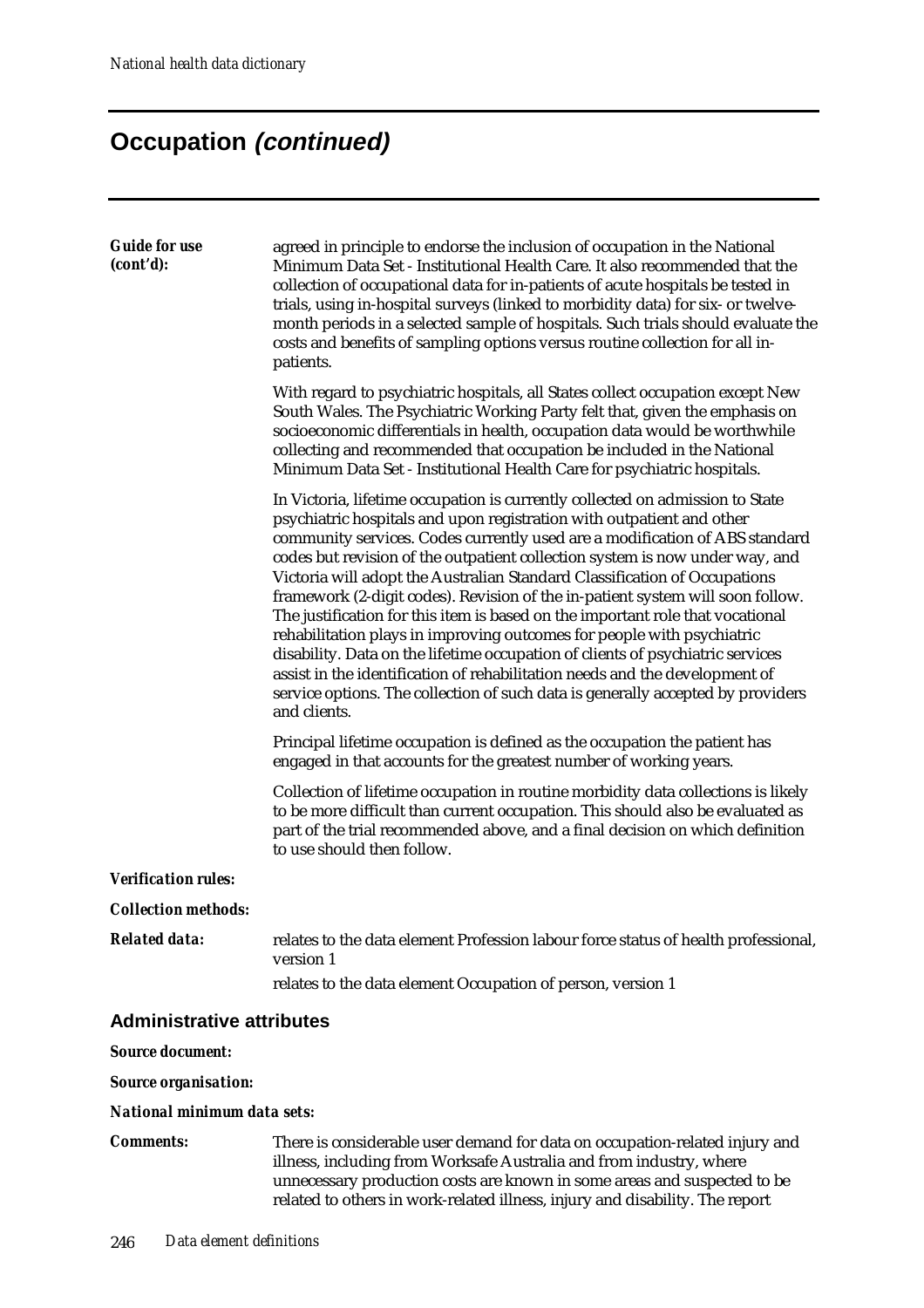| <b>Guide for use</b>             | agreed in principle to endorse the inclusion of occupation in the National                                                                                                                                                                                                                                                                                                                                                                                                                                                                                                                                                                                                                                                                                                                                                                                                                                           |
|----------------------------------|----------------------------------------------------------------------------------------------------------------------------------------------------------------------------------------------------------------------------------------------------------------------------------------------------------------------------------------------------------------------------------------------------------------------------------------------------------------------------------------------------------------------------------------------------------------------------------------------------------------------------------------------------------------------------------------------------------------------------------------------------------------------------------------------------------------------------------------------------------------------------------------------------------------------|
| (cont'd):                        | Minimum Data Set - Institutional Health Care. It also recommended that the<br>collection of occupational data for in-patients of acute hospitals be tested in<br>trials, using in-hospital surveys (linked to morbidity data) for six- or twelve-<br>month periods in a selected sample of hospitals. Such trials should evaluate the<br>costs and benefits of sampling options versus routine collection for all in-<br>patients.                                                                                                                                                                                                                                                                                                                                                                                                                                                                                   |
|                                  | With regard to psychiatric hospitals, all States collect occupation except New<br>South Wales. The Psychiatric Working Party felt that, given the emphasis on<br>socioeconomic differentials in health, occupation data would be worthwhile<br>collecting and recommended that occupation be included in the National<br>Minimum Data Set - Institutional Health Care for psychiatric hospitals.                                                                                                                                                                                                                                                                                                                                                                                                                                                                                                                     |
|                                  | In Victoria, lifetime occupation is currently collected on admission to State<br>psychiatric hospitals and upon registration with outpatient and other<br>community services. Codes currently used are a modification of ABS standard<br>codes but revision of the outpatient collection system is now under way, and<br>Victoria will adopt the Australian Standard Classification of Occupations<br>framework (2-digit codes). Revision of the in-patient system will soon follow.<br>The justification for this item is based on the important role that vocational<br>rehabilitation plays in improving outcomes for people with psychiatric<br>disability. Data on the lifetime occupation of clients of psychiatric services<br>assist in the identification of rehabilitation needs and the development of<br>service options. The collection of such data is generally accepted by providers<br>and clients. |
|                                  | Principal lifetime occupation is defined as the occupation the patient has<br>engaged in that accounts for the greatest number of working years.                                                                                                                                                                                                                                                                                                                                                                                                                                                                                                                                                                                                                                                                                                                                                                     |
|                                  | Collection of lifetime occupation in routine morbidity data collections is likely<br>to be more difficult than current occupation. This should also be evaluated as<br>part of the trial recommended above, and a final decision on which definition<br>to use should then follow.                                                                                                                                                                                                                                                                                                                                                                                                                                                                                                                                                                                                                                   |
| <b>Verification rules:</b>       |                                                                                                                                                                                                                                                                                                                                                                                                                                                                                                                                                                                                                                                                                                                                                                                                                                                                                                                      |
| <b>Collection methods:</b>       |                                                                                                                                                                                                                                                                                                                                                                                                                                                                                                                                                                                                                                                                                                                                                                                                                                                                                                                      |
| <b>Related data:</b>             | relates to the data element Profession labour force status of health professional,<br>version 1                                                                                                                                                                                                                                                                                                                                                                                                                                                                                                                                                                                                                                                                                                                                                                                                                      |
|                                  | relates to the data element Occupation of person, version 1                                                                                                                                                                                                                                                                                                                                                                                                                                                                                                                                                                                                                                                                                                                                                                                                                                                          |
| <b>Administrative attributes</b> |                                                                                                                                                                                                                                                                                                                                                                                                                                                                                                                                                                                                                                                                                                                                                                                                                                                                                                                      |
| <b>Source document:</b>          |                                                                                                                                                                                                                                                                                                                                                                                                                                                                                                                                                                                                                                                                                                                                                                                                                                                                                                                      |
| <b>Source organisation:</b>      |                                                                                                                                                                                                                                                                                                                                                                                                                                                                                                                                                                                                                                                                                                                                                                                                                                                                                                                      |
| National minimum data sets:      |                                                                                                                                                                                                                                                                                                                                                                                                                                                                                                                                                                                                                                                                                                                                                                                                                                                                                                                      |
| <b>Comments:</b>                 | There is considerable user demand for data on occupation-related injury and<br>illness, including from Worksafe Australia and from industry, where                                                                                                                                                                                                                                                                                                                                                                                                                                                                                                                                                                                                                                                                                                                                                                   |

unnecessary production costs are known in some areas and suspected to be related to others in work-related illness, injury and disability. The report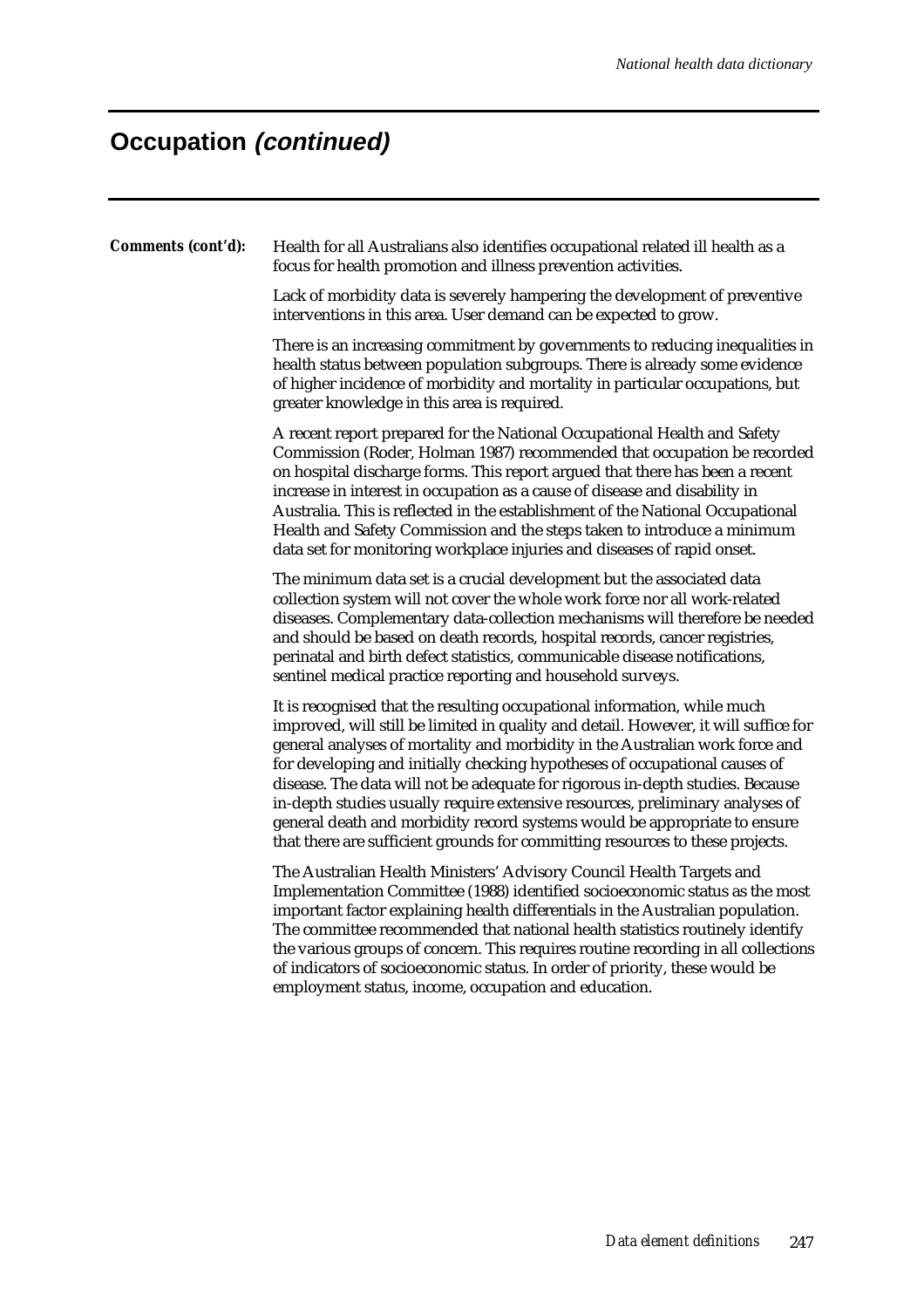*Comments (cont'd):* Health for all Australians also identifies occupational related ill health as a focus for health promotion and illness prevention activities.

> Lack of morbidity data is severely hampering the development of preventive interventions in this area. User demand can be expected to grow.

There is an increasing commitment by governments to reducing inequalities in health status between population subgroups. There is already some evidence of higher incidence of morbidity and mortality in particular occupations, but greater knowledge in this area is required.

A recent report prepared for the National Occupational Health and Safety Commission (Roder, Holman 1987) recommended that occupation be recorded on hospital discharge forms. This report argued that there has been a recent increase in interest in occupation as a cause of disease and disability in Australia. This is reflected in the establishment of the National Occupational Health and Safety Commission and the steps taken to introduce a minimum data set for monitoring workplace injuries and diseases of rapid onset.

The minimum data set is a crucial development but the associated data collection system will not cover the whole work force nor all work-related diseases. Complementary data-collection mechanisms will therefore be needed and should be based on death records, hospital records, cancer registries, perinatal and birth defect statistics, communicable disease notifications, sentinel medical practice reporting and household surveys.

It is recognised that the resulting occupational information, while much improved, will still be limited in quality and detail. However, it will suffice for general analyses of mortality and morbidity in the Australian work force and for developing and initially checking hypotheses of occupational causes of disease. The data will not be adequate for rigorous in-depth studies. Because in-depth studies usually require extensive resources, preliminary analyses of general death and morbidity record systems would be appropriate to ensure that there are sufficient grounds for committing resources to these projects.

The Australian Health Ministers' Advisory Council Health Targets and Implementation Committee (1988) identified socioeconomic status as the most important factor explaining health differentials in the Australian population. The committee recommended that national health statistics routinely identify the various groups of concern. This requires routine recording in all collections of indicators of socioeconomic status. In order of priority, these would be employment status, income, occupation and education.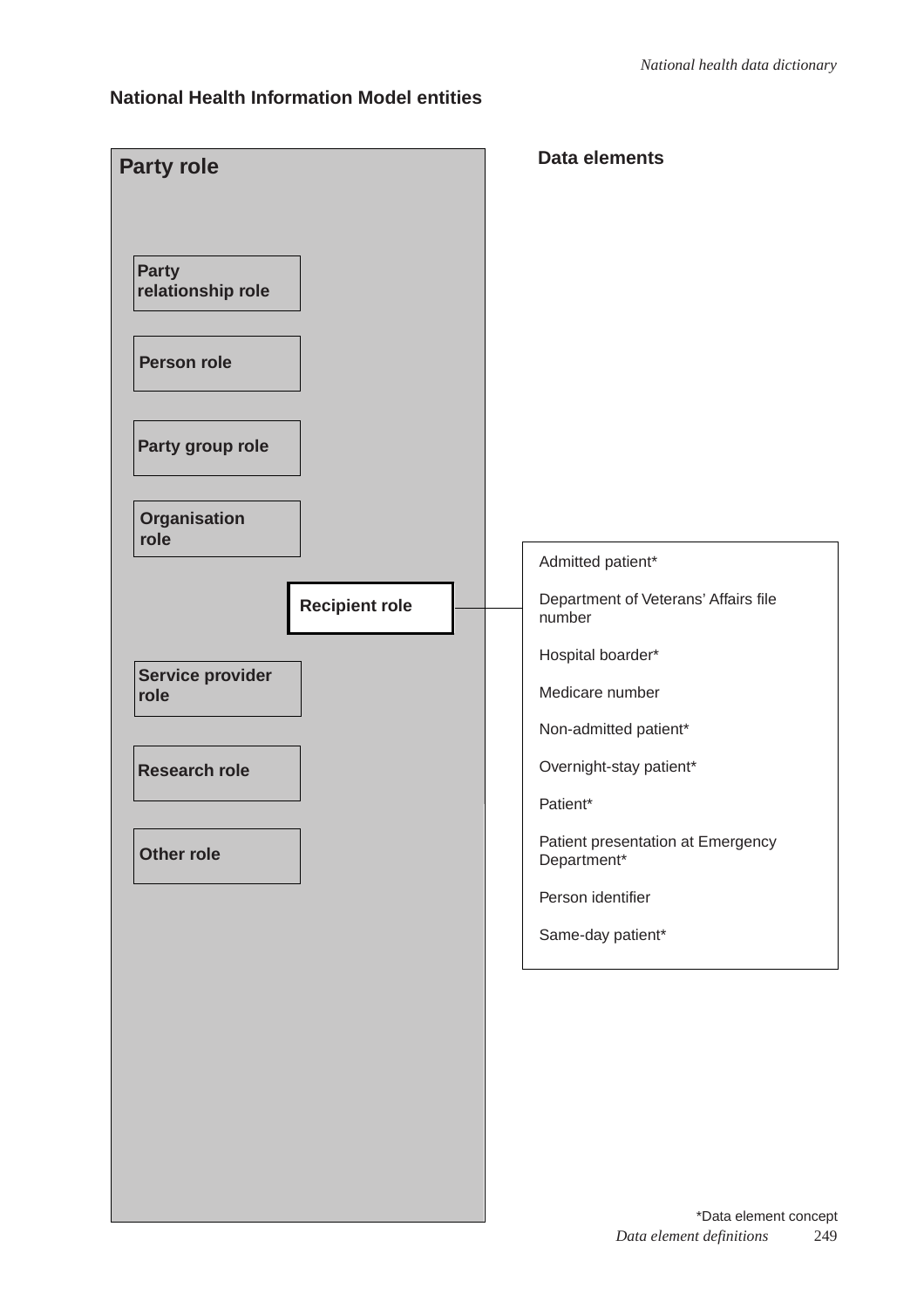### **National Health Information Model entities**

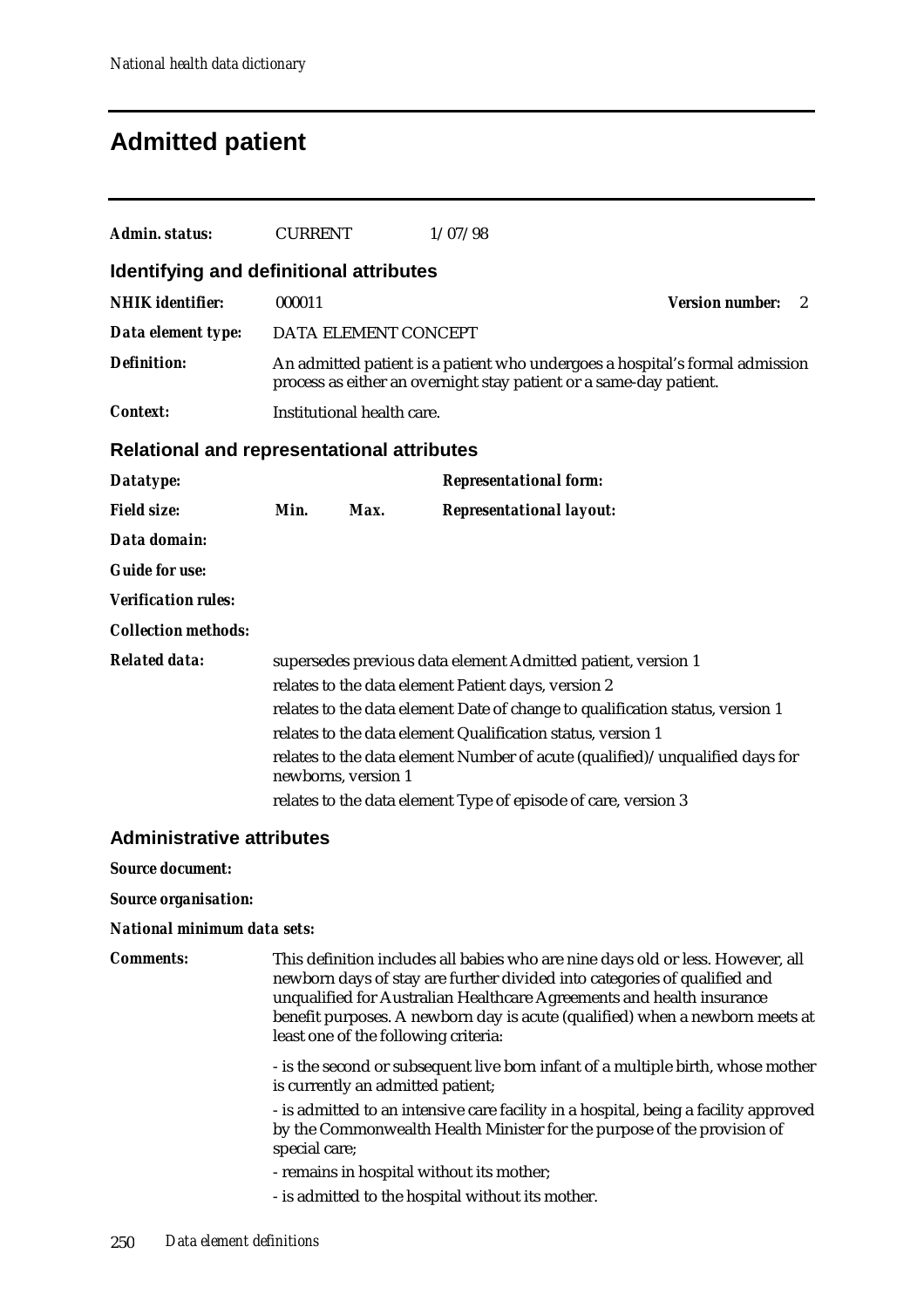# **Admitted patient**

| Admin. status:                                    | <b>CURRENT</b>                                                                                                                                                                                                                                                                                                                                                                                                                               |                                   | 1/07/98                                                                                                                                                                                                                                                                                                                                                       |                        |   |  |  |  |
|---------------------------------------------------|----------------------------------------------------------------------------------------------------------------------------------------------------------------------------------------------------------------------------------------------------------------------------------------------------------------------------------------------------------------------------------------------------------------------------------------------|-----------------------------------|---------------------------------------------------------------------------------------------------------------------------------------------------------------------------------------------------------------------------------------------------------------------------------------------------------------------------------------------------------------|------------------------|---|--|--|--|
| Identifying and definitional attributes           |                                                                                                                                                                                                                                                                                                                                                                                                                                              |                                   |                                                                                                                                                                                                                                                                                                                                                               |                        |   |  |  |  |
| <b>NHIK</b> identifier:                           | 000011                                                                                                                                                                                                                                                                                                                                                                                                                                       |                                   |                                                                                                                                                                                                                                                                                                                                                               | <b>Version number:</b> | 2 |  |  |  |
| Data element type:                                |                                                                                                                                                                                                                                                                                                                                                                                                                                              | DATA ELEMENT CONCEPT              |                                                                                                                                                                                                                                                                                                                                                               |                        |   |  |  |  |
| <b>Definition:</b>                                |                                                                                                                                                                                                                                                                                                                                                                                                                                              |                                   | An admitted patient is a patient who undergoes a hospital's formal admission<br>process as either an overnight stay patient or a same-day patient.                                                                                                                                                                                                            |                        |   |  |  |  |
| Context:                                          |                                                                                                                                                                                                                                                                                                                                                                                                                                              | Institutional health care.        |                                                                                                                                                                                                                                                                                                                                                               |                        |   |  |  |  |
| <b>Relational and representational attributes</b> |                                                                                                                                                                                                                                                                                                                                                                                                                                              |                                   |                                                                                                                                                                                                                                                                                                                                                               |                        |   |  |  |  |
| Datatype:                                         |                                                                                                                                                                                                                                                                                                                                                                                                                                              |                                   | <b>Representational form:</b>                                                                                                                                                                                                                                                                                                                                 |                        |   |  |  |  |
| <b>Field size:</b>                                | Min.                                                                                                                                                                                                                                                                                                                                                                                                                                         | Max.                              | <b>Representational layout:</b>                                                                                                                                                                                                                                                                                                                               |                        |   |  |  |  |
| Data domain:                                      |                                                                                                                                                                                                                                                                                                                                                                                                                                              |                                   |                                                                                                                                                                                                                                                                                                                                                               |                        |   |  |  |  |
| <b>Guide for use:</b>                             |                                                                                                                                                                                                                                                                                                                                                                                                                                              |                                   |                                                                                                                                                                                                                                                                                                                                                               |                        |   |  |  |  |
| <b>Verification rules:</b>                        |                                                                                                                                                                                                                                                                                                                                                                                                                                              |                                   |                                                                                                                                                                                                                                                                                                                                                               |                        |   |  |  |  |
| <b>Collection methods:</b>                        |                                                                                                                                                                                                                                                                                                                                                                                                                                              |                                   |                                                                                                                                                                                                                                                                                                                                                               |                        |   |  |  |  |
| <b>Related data:</b>                              | supersedes previous data element Admitted patient, version 1<br>relates to the data element Patient days, version 2<br>relates to the data element Date of change to qualification status, version 1<br>relates to the data element Qualification status, version 1<br>relates to the data element Number of acute (qualified)/unqualified days for<br>newborns, version 1<br>relates to the data element Type of episode of care, version 3 |                                   |                                                                                                                                                                                                                                                                                                                                                               |                        |   |  |  |  |
| <b>Administrative attributes</b>                  |                                                                                                                                                                                                                                                                                                                                                                                                                                              |                                   |                                                                                                                                                                                                                                                                                                                                                               |                        |   |  |  |  |
| <b>Source document:</b>                           |                                                                                                                                                                                                                                                                                                                                                                                                                                              |                                   |                                                                                                                                                                                                                                                                                                                                                               |                        |   |  |  |  |
| <b>Source organisation:</b>                       |                                                                                                                                                                                                                                                                                                                                                                                                                                              |                                   |                                                                                                                                                                                                                                                                                                                                                               |                        |   |  |  |  |
| National minimum data sets:                       |                                                                                                                                                                                                                                                                                                                                                                                                                                              |                                   |                                                                                                                                                                                                                                                                                                                                                               |                        |   |  |  |  |
| <b>Comments:</b>                                  |                                                                                                                                                                                                                                                                                                                                                                                                                                              |                                   | This definition includes all babies who are nine days old or less. However, all<br>newborn days of stay are further divided into categories of qualified and<br>unqualified for Australian Healthcare Agreements and health insurance<br>benefit purposes. A newborn day is acute (qualified) when a newborn meets at<br>least one of the following criteria: |                        |   |  |  |  |
|                                                   |                                                                                                                                                                                                                                                                                                                                                                                                                                              | is currently an admitted patient; | - is the second or subsequent live born infant of a multiple birth, whose mother                                                                                                                                                                                                                                                                              |                        |   |  |  |  |
|                                                   | special care;                                                                                                                                                                                                                                                                                                                                                                                                                                |                                   | - is admitted to an intensive care facility in a hospital, being a facility approved<br>by the Commonwealth Health Minister for the purpose of the provision of                                                                                                                                                                                               |                        |   |  |  |  |
|                                                   |                                                                                                                                                                                                                                                                                                                                                                                                                                              |                                   | - remains in hospital without its mother;<br>- is admitted to the hospital without its mother.                                                                                                                                                                                                                                                                |                        |   |  |  |  |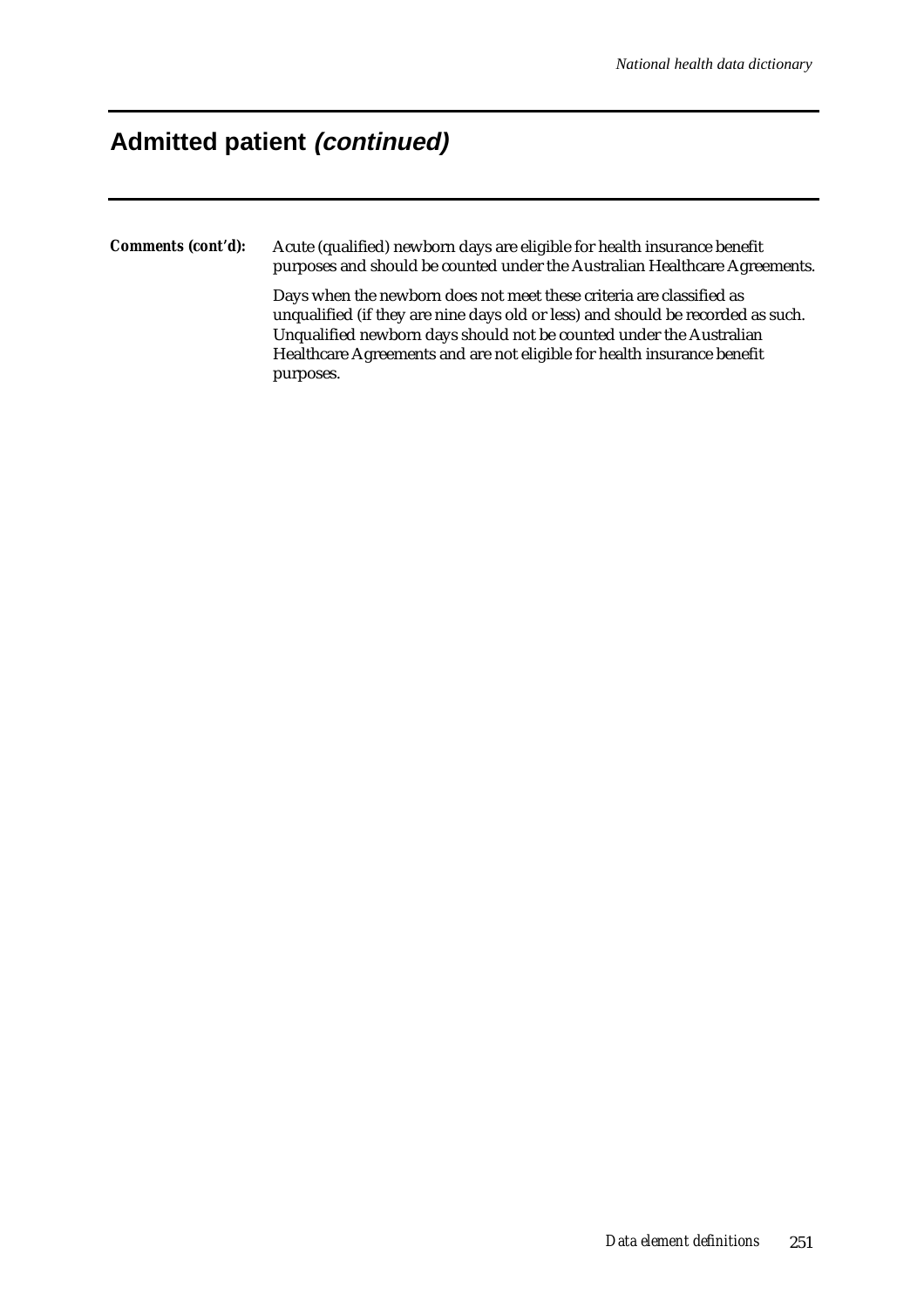### **Admitted patient (continued)**

*Comments (cont'd):* Acute (qualified) newborn days are eligible for health insurance benefit purposes and should be counted under the Australian Healthcare Agreements.

> Days when the newborn does not meet these criteria are classified as unqualified (if they are nine days old or less) and should be recorded as such. Unqualified newborn days should not be counted under the Australian Healthcare Agreements and are not eligible for health insurance benefit purposes.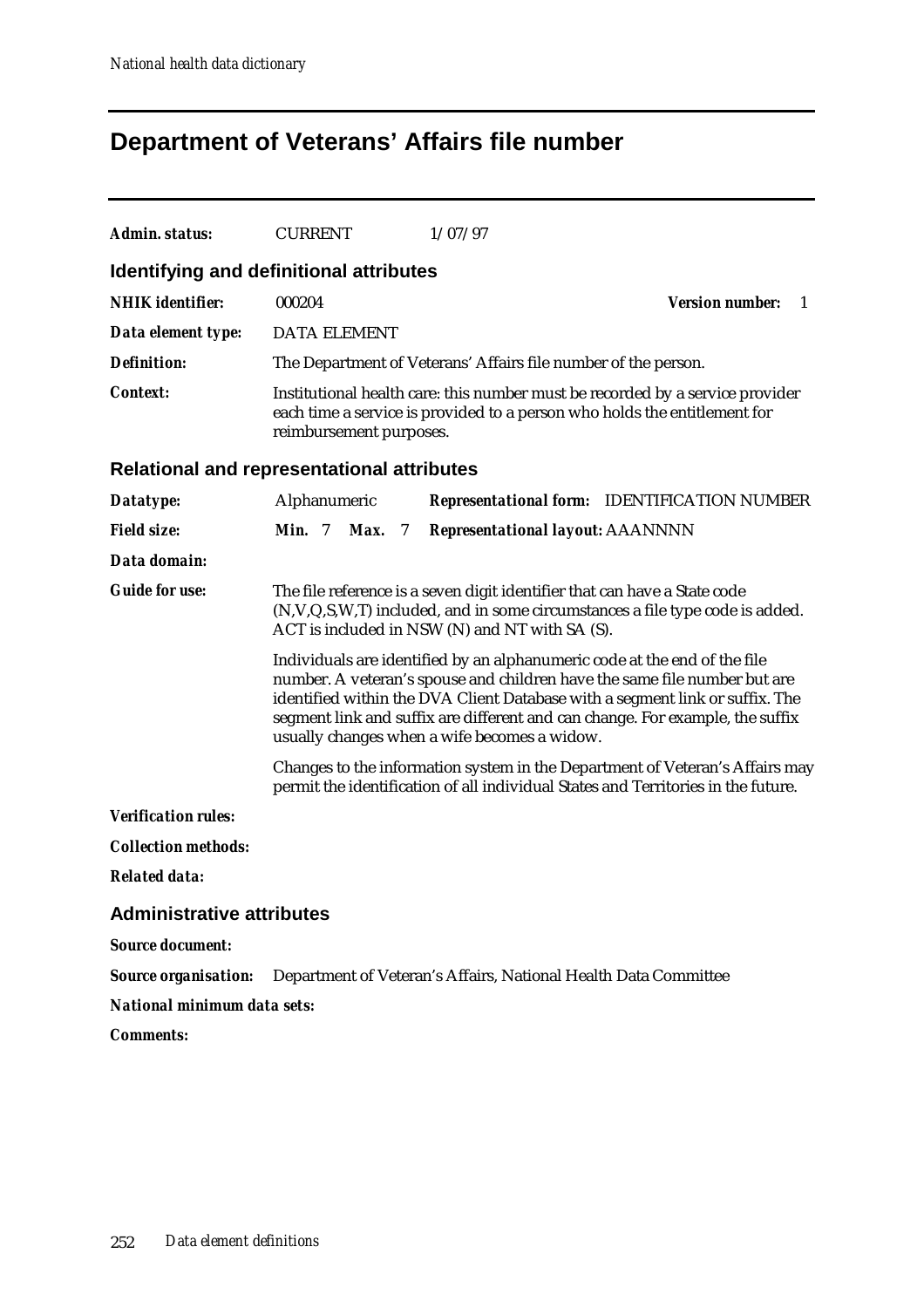# **Department of Veterans' Affairs file number**

| Admin. status:                                    | <b>CURRENT</b>                                                                                                                                                                                                                                                                                                                                                          |                        |  | 1/07/97                                                         |                                                                                                                                                                   |  |  |  |  |
|---------------------------------------------------|-------------------------------------------------------------------------------------------------------------------------------------------------------------------------------------------------------------------------------------------------------------------------------------------------------------------------------------------------------------------------|------------------------|--|-----------------------------------------------------------------|-------------------------------------------------------------------------------------------------------------------------------------------------------------------|--|--|--|--|
|                                                   | Identifying and definitional attributes                                                                                                                                                                                                                                                                                                                                 |                        |  |                                                                 |                                                                                                                                                                   |  |  |  |  |
| <b>NHIK</b> identifier:                           | 000204                                                                                                                                                                                                                                                                                                                                                                  |                        |  |                                                                 | <b>Version number:</b><br>1                                                                                                                                       |  |  |  |  |
| Data element type:                                | <b>DATA ELEMENT</b>                                                                                                                                                                                                                                                                                                                                                     |                        |  |                                                                 |                                                                                                                                                                   |  |  |  |  |
| <b>Definition:</b>                                |                                                                                                                                                                                                                                                                                                                                                                         |                        |  | The Department of Veterans' Affairs file number of the person.  |                                                                                                                                                                   |  |  |  |  |
| <b>Context:</b>                                   | Institutional health care: this number must be recorded by a service provider<br>each time a service is provided to a person who holds the entitlement for<br>reimbursement purposes.                                                                                                                                                                                   |                        |  |                                                                 |                                                                                                                                                                   |  |  |  |  |
| <b>Relational and representational attributes</b> |                                                                                                                                                                                                                                                                                                                                                                         |                        |  |                                                                 |                                                                                                                                                                   |  |  |  |  |
| Datatype:                                         | Alphanumeric                                                                                                                                                                                                                                                                                                                                                            |                        |  |                                                                 | <b>Representational form:</b> IDENTIFICATION NUMBER                                                                                                               |  |  |  |  |
| <b>Field size:</b>                                | <b>Min.</b> 7                                                                                                                                                                                                                                                                                                                                                           | Max.<br>$\overline{7}$ |  | <b>Representational layout: AAANNNN</b>                         |                                                                                                                                                                   |  |  |  |  |
| Data domain:                                      |                                                                                                                                                                                                                                                                                                                                                                         |                        |  |                                                                 |                                                                                                                                                                   |  |  |  |  |
| <b>Guide for use:</b>                             |                                                                                                                                                                                                                                                                                                                                                                         |                        |  | ACT is included in NSW (N) and NT with SA (S).                  | The file reference is a seven digit identifier that can have a State code<br>(N, V, Q, S, W, T) included, and in some circumstances a file type code is added.    |  |  |  |  |
|                                                   | Individuals are identified by an alphanumeric code at the end of the file<br>number. A veteran's spouse and children have the same file number but are<br>identified within the DVA Client Database with a segment link or suffix. The<br>segment link and suffix are different and can change. For example, the suffix<br>usually changes when a wife becomes a widow. |                        |  |                                                                 |                                                                                                                                                                   |  |  |  |  |
|                                                   |                                                                                                                                                                                                                                                                                                                                                                         |                        |  |                                                                 | Changes to the information system in the Department of Veteran's Affairs may<br>permit the identification of all individual States and Territories in the future. |  |  |  |  |
| <b>Verification rules:</b>                        |                                                                                                                                                                                                                                                                                                                                                                         |                        |  |                                                                 |                                                                                                                                                                   |  |  |  |  |
| <b>Collection methods:</b>                        |                                                                                                                                                                                                                                                                                                                                                                         |                        |  |                                                                 |                                                                                                                                                                   |  |  |  |  |
| <b>Related data:</b>                              |                                                                                                                                                                                                                                                                                                                                                                         |                        |  |                                                                 |                                                                                                                                                                   |  |  |  |  |
| <b>Administrative attributes</b>                  |                                                                                                                                                                                                                                                                                                                                                                         |                        |  |                                                                 |                                                                                                                                                                   |  |  |  |  |
| <b>Source document:</b>                           |                                                                                                                                                                                                                                                                                                                                                                         |                        |  |                                                                 |                                                                                                                                                                   |  |  |  |  |
| <b>Source organisation:</b>                       |                                                                                                                                                                                                                                                                                                                                                                         |                        |  | Department of Veteran's Affairs, National Health Data Committee |                                                                                                                                                                   |  |  |  |  |
| National minimum data sets:                       |                                                                                                                                                                                                                                                                                                                                                                         |                        |  |                                                                 |                                                                                                                                                                   |  |  |  |  |

*Comments:*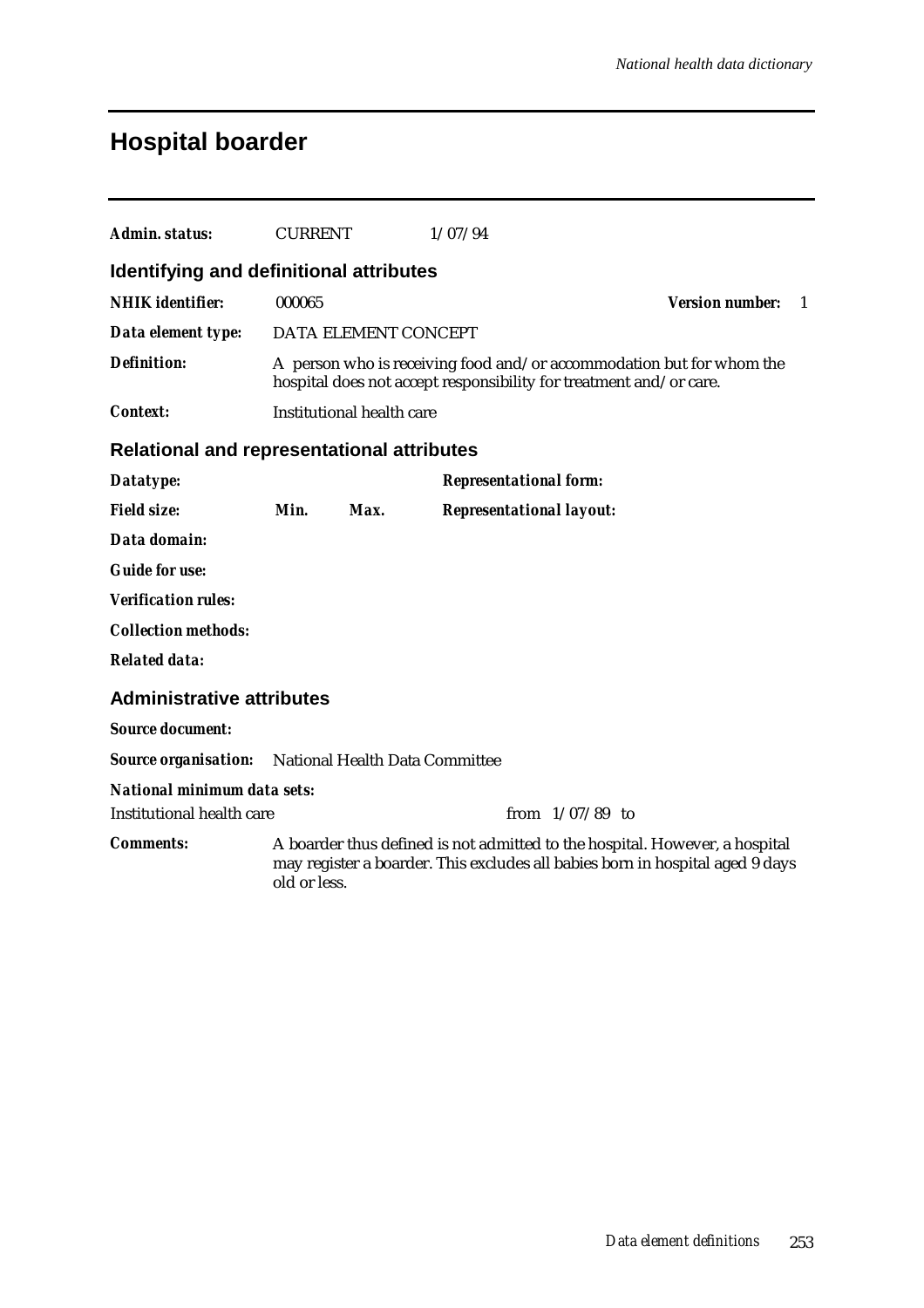# **Hospital boarder**

| Admin. status:                                             | <b>CURRENT</b> |                                  | 1/07/94                                                                                                                                                      |                        |    |
|------------------------------------------------------------|----------------|----------------------------------|--------------------------------------------------------------------------------------------------------------------------------------------------------------|------------------------|----|
| Identifying and definitional attributes                    |                |                                  |                                                                                                                                                              |                        |    |
| <b>NHIK</b> identifier:                                    | 000065         |                                  |                                                                                                                                                              | <b>Version number:</b> | -1 |
| Data element type:                                         |                | DATA ELEMENT CONCEPT             |                                                                                                                                                              |                        |    |
| <b>Definition:</b>                                         |                |                                  | A person who is receiving food and/or accommodation but for whom the<br>hospital does not accept responsibility for treatment and/or care.                   |                        |    |
| Context:                                                   |                | <b>Institutional health care</b> |                                                                                                                                                              |                        |    |
| <b>Relational and representational attributes</b>          |                |                                  |                                                                                                                                                              |                        |    |
| Datatype:                                                  |                |                                  | <b>Representational form:</b>                                                                                                                                |                        |    |
| <b>Field size:</b>                                         | Min.           | Max.                             | <b>Representational layout:</b>                                                                                                                              |                        |    |
| Data domain:                                               |                |                                  |                                                                                                                                                              |                        |    |
| <b>Guide for use:</b>                                      |                |                                  |                                                                                                                                                              |                        |    |
| <b>Verification rules:</b>                                 |                |                                  |                                                                                                                                                              |                        |    |
| <b>Collection methods:</b>                                 |                |                                  |                                                                                                                                                              |                        |    |
| <b>Related data:</b>                                       |                |                                  |                                                                                                                                                              |                        |    |
| <b>Administrative attributes</b>                           |                |                                  |                                                                                                                                                              |                        |    |
| <b>Source document:</b>                                    |                |                                  |                                                                                                                                                              |                        |    |
| <b>Source organisation:</b> National Health Data Committee |                |                                  |                                                                                                                                                              |                        |    |
| <b>National minimum data sets:</b>                         |                |                                  |                                                                                                                                                              |                        |    |
| Institutional health care                                  |                |                                  | from $1/07/89$ to                                                                                                                                            |                        |    |
| <b>Comments:</b>                                           | old or less.   |                                  | A boarder thus defined is not admitted to the hospital. However, a hospital<br>may register a boarder. This excludes all babies born in hospital aged 9 days |                        |    |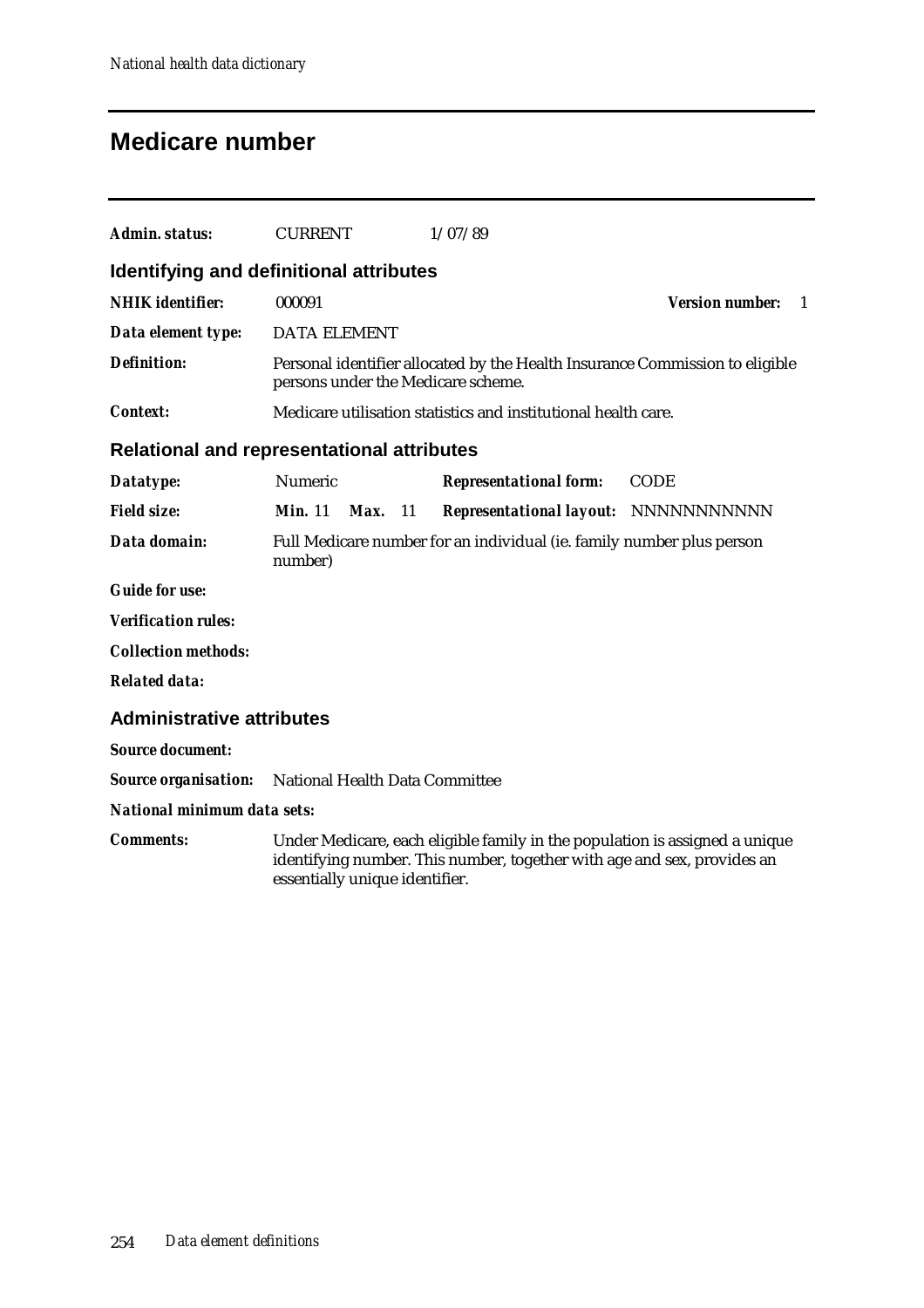## **Medicare number**

| Admin. status:                                    | <b>CURRENT</b>                                                                   |              | 1/07/89                                                                                                                                                |                              |  |  |  |  |
|---------------------------------------------------|----------------------------------------------------------------------------------|--------------|--------------------------------------------------------------------------------------------------------------------------------------------------------|------------------------------|--|--|--|--|
| Identifying and definitional attributes           |                                                                                  |              |                                                                                                                                                        |                              |  |  |  |  |
| <b>NHIK</b> identifier:                           | 000091                                                                           |              |                                                                                                                                                        | <b>Version number:</b><br>-1 |  |  |  |  |
| Data element type:                                | <b>DATA ELEMENT</b>                                                              |              |                                                                                                                                                        |                              |  |  |  |  |
| <b>Definition:</b>                                |                                                                                  |              | Personal identifier allocated by the Health Insurance Commission to eligible<br>persons under the Medicare scheme.                                     |                              |  |  |  |  |
| <b>Context:</b>                                   |                                                                                  |              | Medicare utilisation statistics and institutional health care.                                                                                         |                              |  |  |  |  |
| <b>Relational and representational attributes</b> |                                                                                  |              |                                                                                                                                                        |                              |  |  |  |  |
| Datatype:                                         | Numeric                                                                          |              | <b>Representational form:</b>                                                                                                                          | <b>CODE</b>                  |  |  |  |  |
| <b>Field size:</b>                                | Min. 11                                                                          | Max.<br>- 11 | Representational layout: NNNNNNNNNNNN                                                                                                                  |                              |  |  |  |  |
| Data domain:                                      | Full Medicare number for an individual (ie. family number plus person<br>number) |              |                                                                                                                                                        |                              |  |  |  |  |
| <b>Guide for use:</b>                             |                                                                                  |              |                                                                                                                                                        |                              |  |  |  |  |
| <b>Verification rules:</b>                        |                                                                                  |              |                                                                                                                                                        |                              |  |  |  |  |
| <b>Collection methods:</b>                        |                                                                                  |              |                                                                                                                                                        |                              |  |  |  |  |
| <b>Related data:</b>                              |                                                                                  |              |                                                                                                                                                        |                              |  |  |  |  |
| <b>Administrative attributes</b>                  |                                                                                  |              |                                                                                                                                                        |                              |  |  |  |  |
| <b>Source document:</b>                           |                                                                                  |              |                                                                                                                                                        |                              |  |  |  |  |
| <b>Source organisation:</b>                       | National Health Data Committee                                                   |              |                                                                                                                                                        |                              |  |  |  |  |
| <b>National minimum data sets:</b>                |                                                                                  |              |                                                                                                                                                        |                              |  |  |  |  |
| <b>Comments:</b>                                  | essentially unique identifier.                                                   |              | Under Medicare, each eligible family in the population is assigned a unique<br>identifying number. This number, together with age and sex, provides an |                              |  |  |  |  |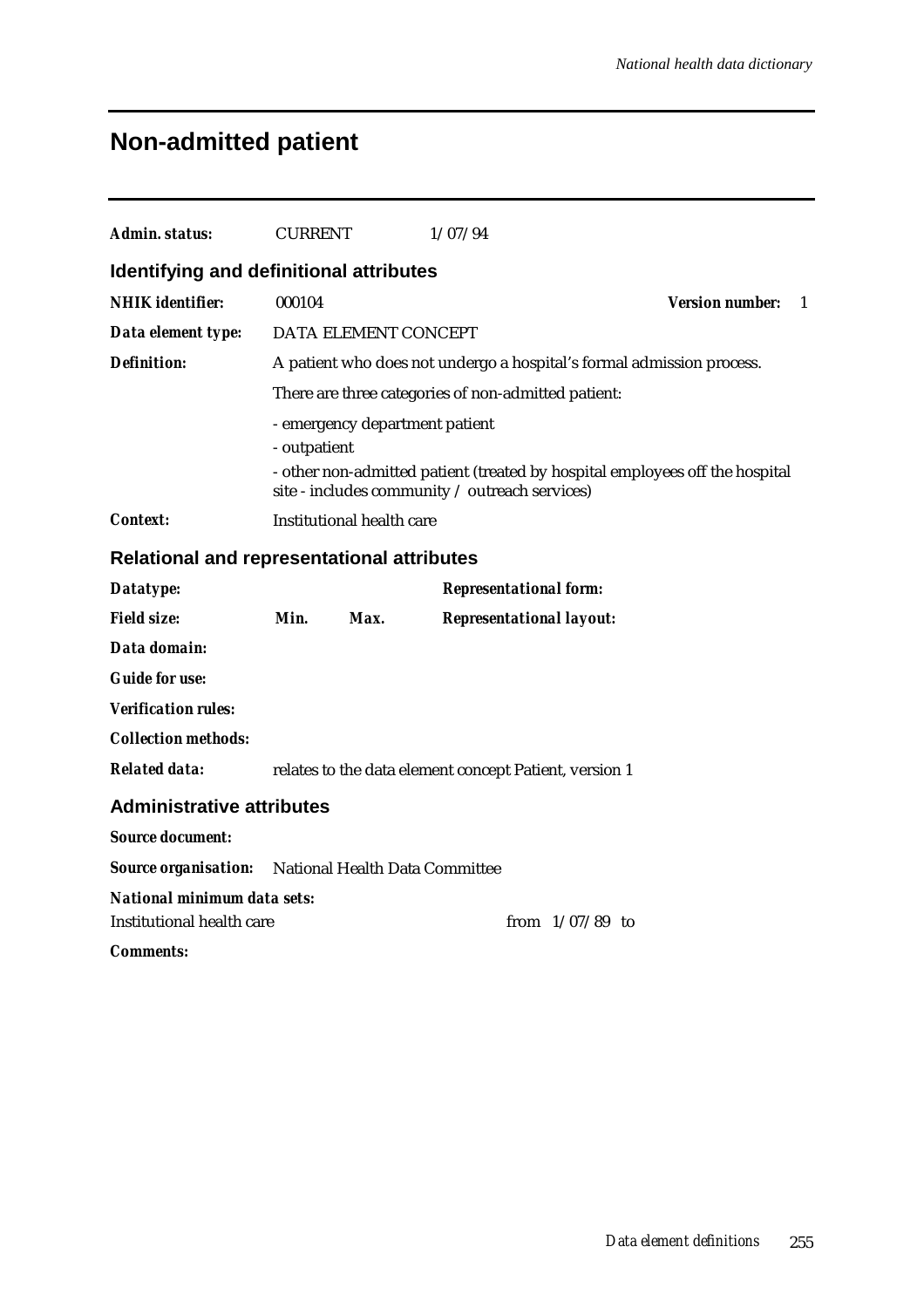# **Non-admitted patient**

| Admin. status:                                    | <b>CURRENT</b>                                                                                                                                                                   |                                                        | 1/07/94                         |  |                                                                       |  |  |  |  |
|---------------------------------------------------|----------------------------------------------------------------------------------------------------------------------------------------------------------------------------------|--------------------------------------------------------|---------------------------------|--|-----------------------------------------------------------------------|--|--|--|--|
| Identifying and definitional attributes           |                                                                                                                                                                                  |                                                        |                                 |  |                                                                       |  |  |  |  |
| <b>NHIK</b> identifier:                           | 000104                                                                                                                                                                           | <b>Version number:</b><br>$\mathbf{1}$                 |                                 |  |                                                                       |  |  |  |  |
| Data element type:                                |                                                                                                                                                                                  | DATA ELEMENT CONCEPT                                   |                                 |  |                                                                       |  |  |  |  |
| <b>Definition:</b>                                |                                                                                                                                                                                  |                                                        |                                 |  | A patient who does not undergo a hospital's formal admission process. |  |  |  |  |
|                                                   |                                                                                                                                                                                  | There are three categories of non-admitted patient:    |                                 |  |                                                                       |  |  |  |  |
|                                                   | - emergency department patient<br>- outpatient<br>- other non-admitted patient (treated by hospital employees off the hospital<br>site - includes community / outreach services) |                                                        |                                 |  |                                                                       |  |  |  |  |
| <b>Context:</b>                                   |                                                                                                                                                                                  | Institutional health care                              |                                 |  |                                                                       |  |  |  |  |
| <b>Relational and representational attributes</b> |                                                                                                                                                                                  |                                                        |                                 |  |                                                                       |  |  |  |  |
| Datatype:                                         |                                                                                                                                                                                  |                                                        | <b>Representational form:</b>   |  |                                                                       |  |  |  |  |
| <b>Field size:</b>                                | Min.                                                                                                                                                                             | Max.                                                   | <b>Representational layout:</b> |  |                                                                       |  |  |  |  |
| Data domain:                                      |                                                                                                                                                                                  |                                                        |                                 |  |                                                                       |  |  |  |  |
| <b>Guide for use:</b>                             |                                                                                                                                                                                  |                                                        |                                 |  |                                                                       |  |  |  |  |
| <b>Verification rules:</b>                        |                                                                                                                                                                                  |                                                        |                                 |  |                                                                       |  |  |  |  |
| <b>Collection methods:</b>                        |                                                                                                                                                                                  |                                                        |                                 |  |                                                                       |  |  |  |  |
| <b>Related data:</b>                              |                                                                                                                                                                                  | relates to the data element concept Patient, version 1 |                                 |  |                                                                       |  |  |  |  |
| <b>Administrative attributes</b>                  |                                                                                                                                                                                  |                                                        |                                 |  |                                                                       |  |  |  |  |
| <b>Source document:</b>                           |                                                                                                                                                                                  |                                                        |                                 |  |                                                                       |  |  |  |  |
| <b>Source organisation:</b>                       |                                                                                                                                                                                  | National Health Data Committee                         |                                 |  |                                                                       |  |  |  |  |
| <b>National minimum data sets:</b>                |                                                                                                                                                                                  |                                                        |                                 |  |                                                                       |  |  |  |  |
| <b>Institutional health care</b>                  |                                                                                                                                                                                  |                                                        |                                 |  | from $1/07/89$ to                                                     |  |  |  |  |
| <b>Comments:</b>                                  |                                                                                                                                                                                  |                                                        |                                 |  |                                                                       |  |  |  |  |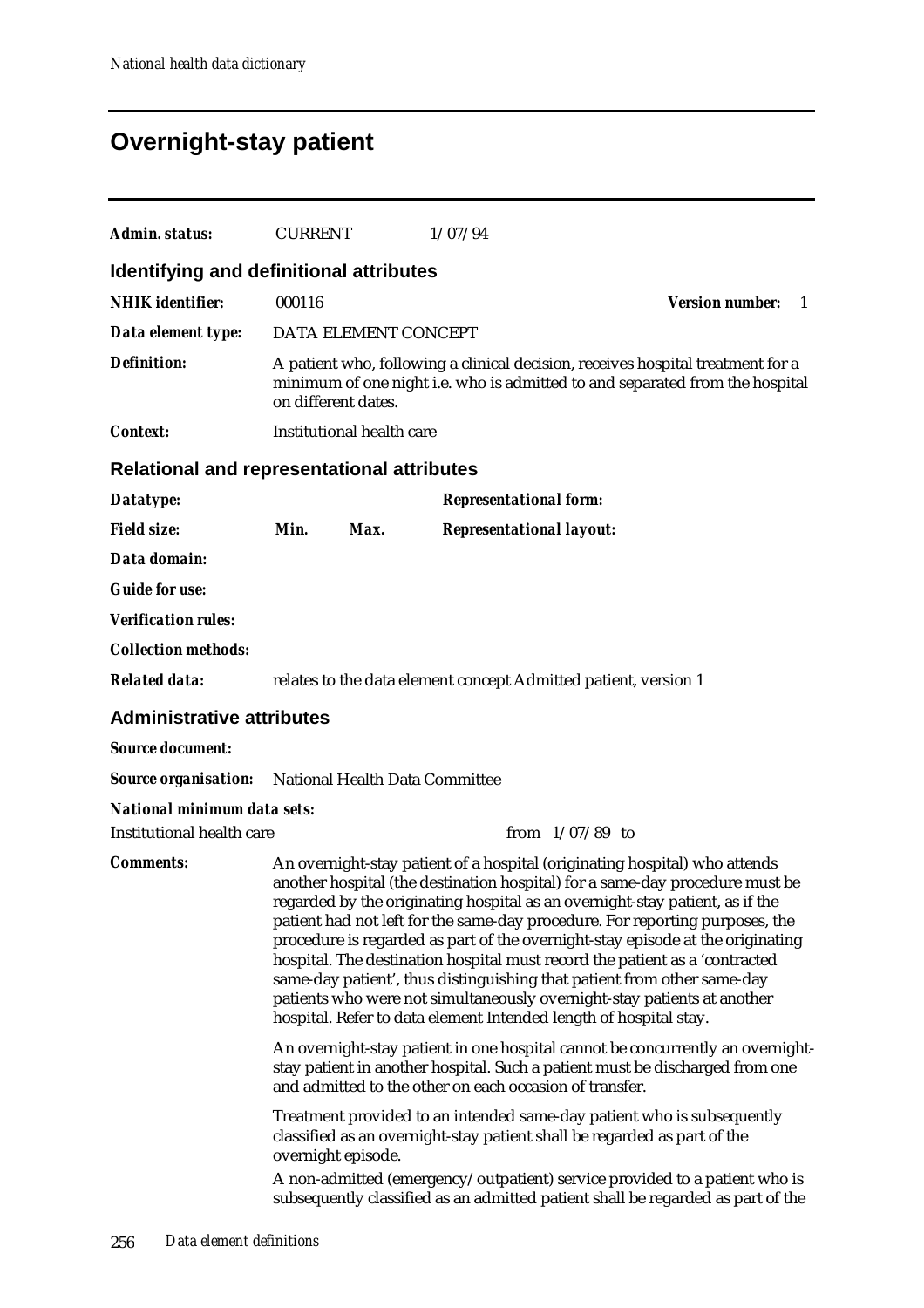# **Overnight-stay patient**

| Admin. status:                                      | <b>CURRENT</b>                                                                                                                                                                                                                                                                                                                                                                                                                                                                                                                                                                                                                                                                                                         |                           | 1/07/94                                                                                                                                                                                                                   |                               |  |
|-----------------------------------------------------|------------------------------------------------------------------------------------------------------------------------------------------------------------------------------------------------------------------------------------------------------------------------------------------------------------------------------------------------------------------------------------------------------------------------------------------------------------------------------------------------------------------------------------------------------------------------------------------------------------------------------------------------------------------------------------------------------------------------|---------------------------|---------------------------------------------------------------------------------------------------------------------------------------------------------------------------------------------------------------------------|-------------------------------|--|
| <b>Identifying and definitional attributes</b>      |                                                                                                                                                                                                                                                                                                                                                                                                                                                                                                                                                                                                                                                                                                                        |                           |                                                                                                                                                                                                                           |                               |  |
| <b>NHIK</b> identifier:                             | 000116                                                                                                                                                                                                                                                                                                                                                                                                                                                                                                                                                                                                                                                                                                                 |                           |                                                                                                                                                                                                                           | <b>Version number:</b><br>- 1 |  |
| Data element type:                                  |                                                                                                                                                                                                                                                                                                                                                                                                                                                                                                                                                                                                                                                                                                                        | DATA ELEMENT CONCEPT      |                                                                                                                                                                                                                           |                               |  |
| <b>Definition:</b>                                  | on different dates.                                                                                                                                                                                                                                                                                                                                                                                                                                                                                                                                                                                                                                                                                                    |                           | A patient who, following a clinical decision, receives hospital treatment for a<br>minimum of one night i.e. who is admitted to and separated from the hospital                                                           |                               |  |
| <b>Context:</b>                                     |                                                                                                                                                                                                                                                                                                                                                                                                                                                                                                                                                                                                                                                                                                                        | Institutional health care |                                                                                                                                                                                                                           |                               |  |
| Relational and representational attributes          |                                                                                                                                                                                                                                                                                                                                                                                                                                                                                                                                                                                                                                                                                                                        |                           |                                                                                                                                                                                                                           |                               |  |
| Datatype:                                           |                                                                                                                                                                                                                                                                                                                                                                                                                                                                                                                                                                                                                                                                                                                        |                           | <b>Representational form:</b>                                                                                                                                                                                             |                               |  |
| <b>Field size:</b>                                  | Min.                                                                                                                                                                                                                                                                                                                                                                                                                                                                                                                                                                                                                                                                                                                   | Max.                      | <b>Representational layout:</b>                                                                                                                                                                                           |                               |  |
| Data domain:                                        |                                                                                                                                                                                                                                                                                                                                                                                                                                                                                                                                                                                                                                                                                                                        |                           |                                                                                                                                                                                                                           |                               |  |
| <b>Guide for use:</b>                               |                                                                                                                                                                                                                                                                                                                                                                                                                                                                                                                                                                                                                                                                                                                        |                           |                                                                                                                                                                                                                           |                               |  |
| <b>Verification rules:</b>                          |                                                                                                                                                                                                                                                                                                                                                                                                                                                                                                                                                                                                                                                                                                                        |                           |                                                                                                                                                                                                                           |                               |  |
| <b>Collection methods:</b>                          |                                                                                                                                                                                                                                                                                                                                                                                                                                                                                                                                                                                                                                                                                                                        |                           |                                                                                                                                                                                                                           |                               |  |
| <b>Related data:</b>                                |                                                                                                                                                                                                                                                                                                                                                                                                                                                                                                                                                                                                                                                                                                                        |                           | relates to the data element concept Admitted patient, version 1                                                                                                                                                           |                               |  |
| <b>Administrative attributes</b>                    |                                                                                                                                                                                                                                                                                                                                                                                                                                                                                                                                                                                                                                                                                                                        |                           |                                                                                                                                                                                                                           |                               |  |
| <b>Source document:</b>                             |                                                                                                                                                                                                                                                                                                                                                                                                                                                                                                                                                                                                                                                                                                                        |                           |                                                                                                                                                                                                                           |                               |  |
| Source organisation: National Health Data Committee |                                                                                                                                                                                                                                                                                                                                                                                                                                                                                                                                                                                                                                                                                                                        |                           |                                                                                                                                                                                                                           |                               |  |
| <b>National minimum data sets:</b>                  |                                                                                                                                                                                                                                                                                                                                                                                                                                                                                                                                                                                                                                                                                                                        |                           |                                                                                                                                                                                                                           |                               |  |
| <b>Institutional health care</b>                    |                                                                                                                                                                                                                                                                                                                                                                                                                                                                                                                                                                                                                                                                                                                        |                           | from $1/07/89$ to                                                                                                                                                                                                         |                               |  |
| <b>Comments:</b>                                    | An overnight-stay patient of a hospital (originating hospital) who attends<br>another hospital (the destination hospital) for a same-day procedure must be<br>regarded by the originating hospital as an overnight-stay patient, as if the<br>patient had not left for the same-day procedure. For reporting purposes, the<br>procedure is regarded as part of the overnight-stay episode at the originating<br>hospital. The destination hospital must record the patient as a 'contracted<br>same-day patient', thus distinguishing that patient from other same-day<br>patients who were not simultaneously overnight-stay patients at another<br>hospital. Refer to data element Intended length of hospital stay. |                           |                                                                                                                                                                                                                           |                               |  |
|                                                     |                                                                                                                                                                                                                                                                                                                                                                                                                                                                                                                                                                                                                                                                                                                        |                           | An overnight-stay patient in one hospital cannot be concurrently an overnight-<br>stay patient in another hospital. Such a patient must be discharged from one<br>and admitted to the other on each occasion of transfer. |                               |  |
|                                                     | overnight episode.                                                                                                                                                                                                                                                                                                                                                                                                                                                                                                                                                                                                                                                                                                     |                           | Treatment provided to an intended same-day patient who is subsequently<br>classified as an overnight-stay patient shall be regarded as part of the                                                                        |                               |  |
|                                                     |                                                                                                                                                                                                                                                                                                                                                                                                                                                                                                                                                                                                                                                                                                                        |                           | A non-admitted (emergency/outpatient) service provided to a patient who is<br>subsequently classified as an admitted patient shall be regarded as part of the                                                             |                               |  |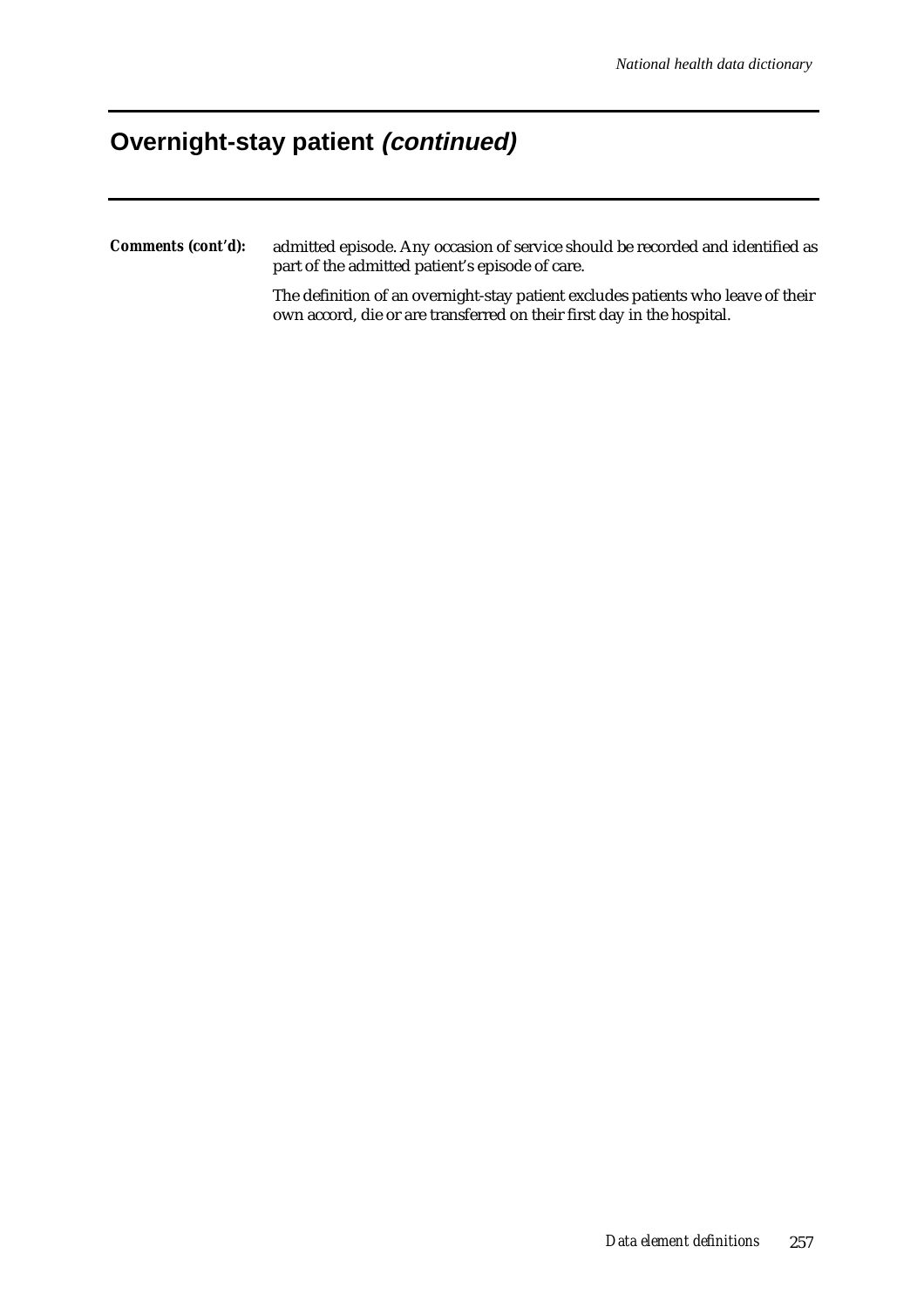## **Overnight-stay patient (continued)**

*Comments (cont'd):* admitted episode. Any occasion of service should be recorded and identified as part of the admitted patient's episode of care.

> The definition of an overnight-stay patient excludes patients who leave of their own accord, die or are transferred on their first day in the hospital.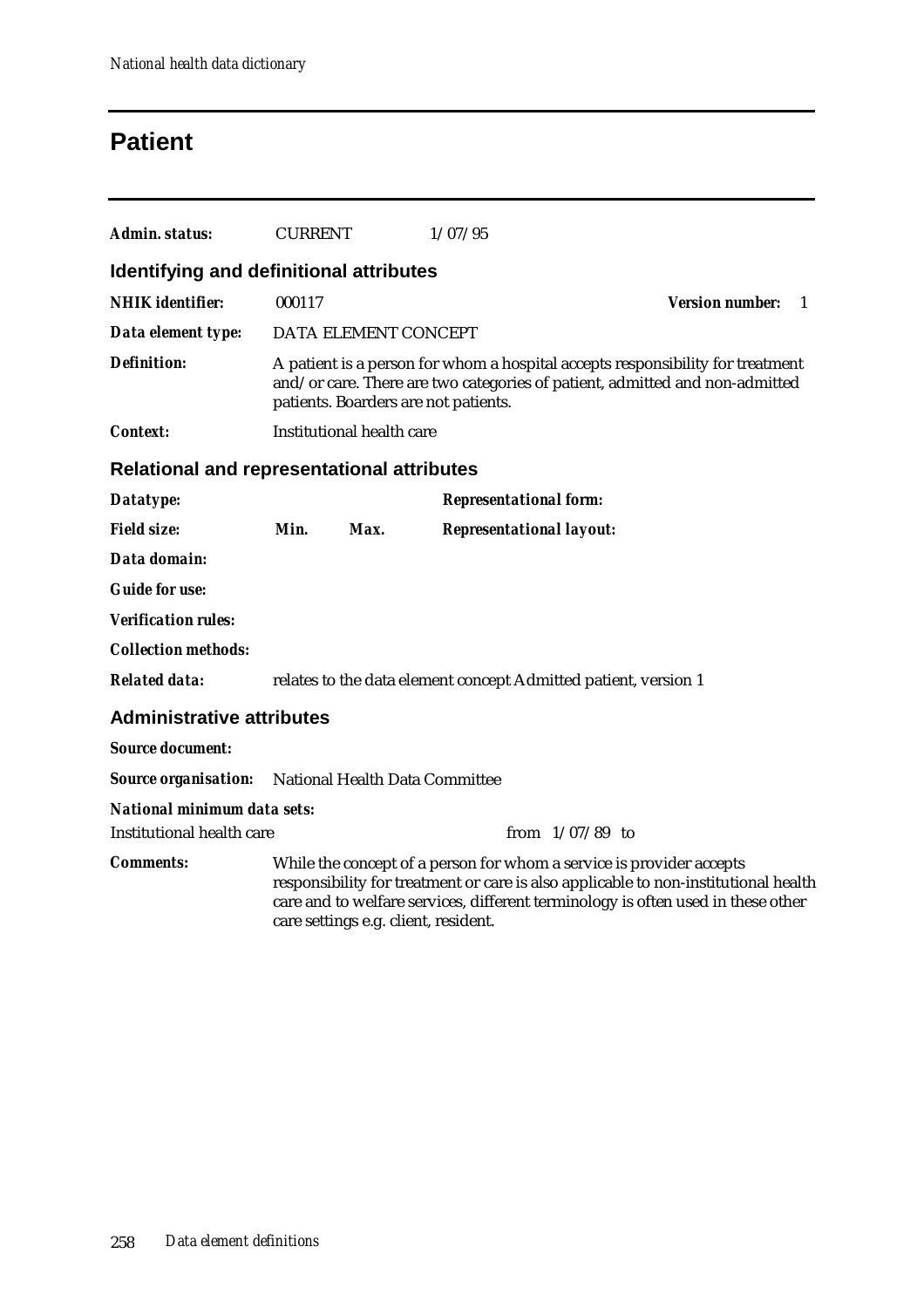## **Patient**

| Admin. status:                                             | <b>CURRENT</b> |                                                                                                                                                                                                       | 1/07/95                                                                                                                                                                                                                                         |                                          |  |  |  |
|------------------------------------------------------------|----------------|-------------------------------------------------------------------------------------------------------------------------------------------------------------------------------------------------------|-------------------------------------------------------------------------------------------------------------------------------------------------------------------------------------------------------------------------------------------------|------------------------------------------|--|--|--|
| <b>Identifying and definitional attributes</b>             |                |                                                                                                                                                                                                       |                                                                                                                                                                                                                                                 |                                          |  |  |  |
| <b>NHIK</b> identifier:                                    | 000117         |                                                                                                                                                                                                       |                                                                                                                                                                                                                                                 | <b>Version number:</b><br>$\overline{1}$ |  |  |  |
| Data element type:                                         |                | DATA ELEMENT CONCEPT                                                                                                                                                                                  |                                                                                                                                                                                                                                                 |                                          |  |  |  |
| <b>Definition:</b>                                         |                | A patient is a person for whom a hospital accepts responsibility for treatment<br>and/or care. There are two categories of patient, admitted and non-admitted<br>patients. Boarders are not patients. |                                                                                                                                                                                                                                                 |                                          |  |  |  |
| <b>Context:</b>                                            |                | <b>Institutional health care</b>                                                                                                                                                                      |                                                                                                                                                                                                                                                 |                                          |  |  |  |
| <b>Relational and representational attributes</b>          |                |                                                                                                                                                                                                       |                                                                                                                                                                                                                                                 |                                          |  |  |  |
| Datatype:                                                  |                |                                                                                                                                                                                                       | <b>Representational form:</b>                                                                                                                                                                                                                   |                                          |  |  |  |
| <b>Field size:</b>                                         | Min.           | Max.                                                                                                                                                                                                  | <b>Representational layout:</b>                                                                                                                                                                                                                 |                                          |  |  |  |
| Data domain:                                               |                |                                                                                                                                                                                                       |                                                                                                                                                                                                                                                 |                                          |  |  |  |
| <b>Guide for use:</b>                                      |                |                                                                                                                                                                                                       |                                                                                                                                                                                                                                                 |                                          |  |  |  |
| <b>Verification rules:</b>                                 |                |                                                                                                                                                                                                       |                                                                                                                                                                                                                                                 |                                          |  |  |  |
| <b>Collection methods:</b>                                 |                |                                                                                                                                                                                                       |                                                                                                                                                                                                                                                 |                                          |  |  |  |
| <b>Related data:</b>                                       |                |                                                                                                                                                                                                       | relates to the data element concept Admitted patient, version 1                                                                                                                                                                                 |                                          |  |  |  |
| <b>Administrative attributes</b>                           |                |                                                                                                                                                                                                       |                                                                                                                                                                                                                                                 |                                          |  |  |  |
| <b>Source document:</b>                                    |                |                                                                                                                                                                                                       |                                                                                                                                                                                                                                                 |                                          |  |  |  |
| <b>Source organisation:</b> National Health Data Committee |                |                                                                                                                                                                                                       |                                                                                                                                                                                                                                                 |                                          |  |  |  |
| <b>National minimum data sets:</b>                         |                |                                                                                                                                                                                                       |                                                                                                                                                                                                                                                 |                                          |  |  |  |
| Institutional health care                                  |                |                                                                                                                                                                                                       | from $1/07/89$ to                                                                                                                                                                                                                               |                                          |  |  |  |
| <b>Comments:</b>                                           |                | care settings e.g. client, resident.                                                                                                                                                                  | While the concept of a person for whom a service is provider accepts<br>responsibility for treatment or care is also applicable to non-institutional health<br>care and to welfare services, different terminology is often used in these other |                                          |  |  |  |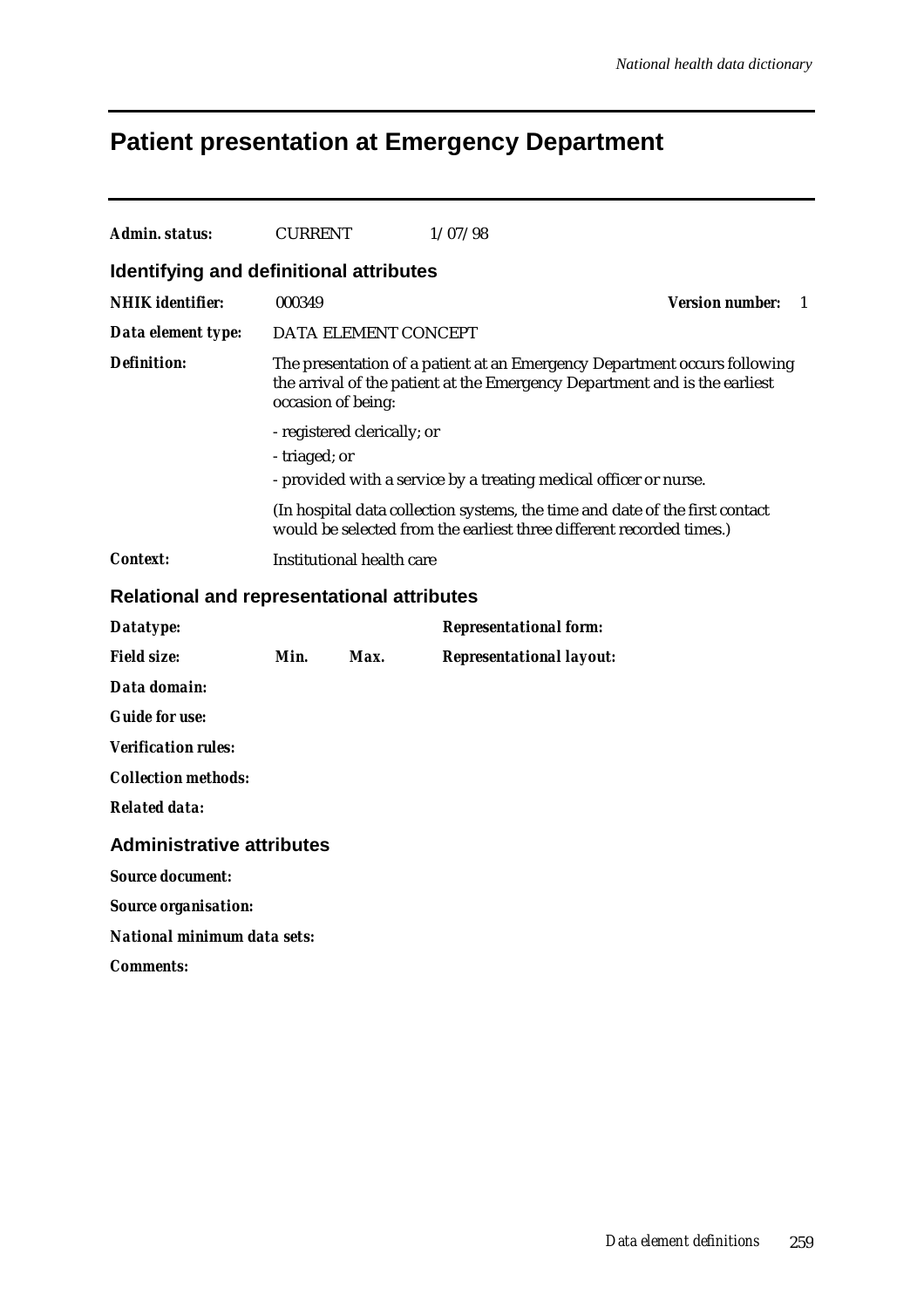# **Patient presentation at Emergency Department**

| Admin. status:                                    | <b>CURRENT</b>                                                                                                                                                                |                             | 1/07/98                                                                                                                                              |                        |    |  |  |  |
|---------------------------------------------------|-------------------------------------------------------------------------------------------------------------------------------------------------------------------------------|-----------------------------|------------------------------------------------------------------------------------------------------------------------------------------------------|------------------------|----|--|--|--|
|                                                   |                                                                                                                                                                               |                             |                                                                                                                                                      |                        |    |  |  |  |
| Identifying and definitional attributes           |                                                                                                                                                                               |                             |                                                                                                                                                      |                        |    |  |  |  |
| <b>NHIK</b> identifier:                           | 000349                                                                                                                                                                        |                             |                                                                                                                                                      | <b>Version number:</b> | -1 |  |  |  |
| Data element type:                                |                                                                                                                                                                               | DATA ELEMENT CONCEPT        |                                                                                                                                                      |                        |    |  |  |  |
| <b>Definition:</b>                                | The presentation of a patient at an Emergency Department occurs following<br>the arrival of the patient at the Emergency Department and is the earliest<br>occasion of being: |                             |                                                                                                                                                      |                        |    |  |  |  |
|                                                   |                                                                                                                                                                               | - registered clerically; or |                                                                                                                                                      |                        |    |  |  |  |
|                                                   | - triaged; or                                                                                                                                                                 |                             |                                                                                                                                                      |                        |    |  |  |  |
|                                                   |                                                                                                                                                                               |                             | - provided with a service by a treating medical officer or nurse.                                                                                    |                        |    |  |  |  |
|                                                   |                                                                                                                                                                               |                             | (In hospital data collection systems, the time and date of the first contact<br>would be selected from the earliest three different recorded times.) |                        |    |  |  |  |
| Context:                                          |                                                                                                                                                                               | Institutional health care   |                                                                                                                                                      |                        |    |  |  |  |
| <b>Relational and representational attributes</b> |                                                                                                                                                                               |                             |                                                                                                                                                      |                        |    |  |  |  |
| Datatype:                                         |                                                                                                                                                                               |                             | <b>Representational form:</b>                                                                                                                        |                        |    |  |  |  |
| <b>Field size:</b>                                | Min.                                                                                                                                                                          | Max.                        | <b>Representational layout:</b>                                                                                                                      |                        |    |  |  |  |
| Data domain:                                      |                                                                                                                                                                               |                             |                                                                                                                                                      |                        |    |  |  |  |
| <b>Guide for use:</b>                             |                                                                                                                                                                               |                             |                                                                                                                                                      |                        |    |  |  |  |
| <b>Verification rules:</b>                        |                                                                                                                                                                               |                             |                                                                                                                                                      |                        |    |  |  |  |
| <b>Collection methods:</b>                        |                                                                                                                                                                               |                             |                                                                                                                                                      |                        |    |  |  |  |
| <b>Related data:</b>                              |                                                                                                                                                                               |                             |                                                                                                                                                      |                        |    |  |  |  |
| <b>Administrative attributes</b>                  |                                                                                                                                                                               |                             |                                                                                                                                                      |                        |    |  |  |  |
| <b>Source document:</b>                           |                                                                                                                                                                               |                             |                                                                                                                                                      |                        |    |  |  |  |
| <b>Source organisation:</b>                       |                                                                                                                                                                               |                             |                                                                                                                                                      |                        |    |  |  |  |
| National minimum data sets:                       |                                                                                                                                                                               |                             |                                                                                                                                                      |                        |    |  |  |  |
| <i>Comments:</i>                                  |                                                                                                                                                                               |                             |                                                                                                                                                      |                        |    |  |  |  |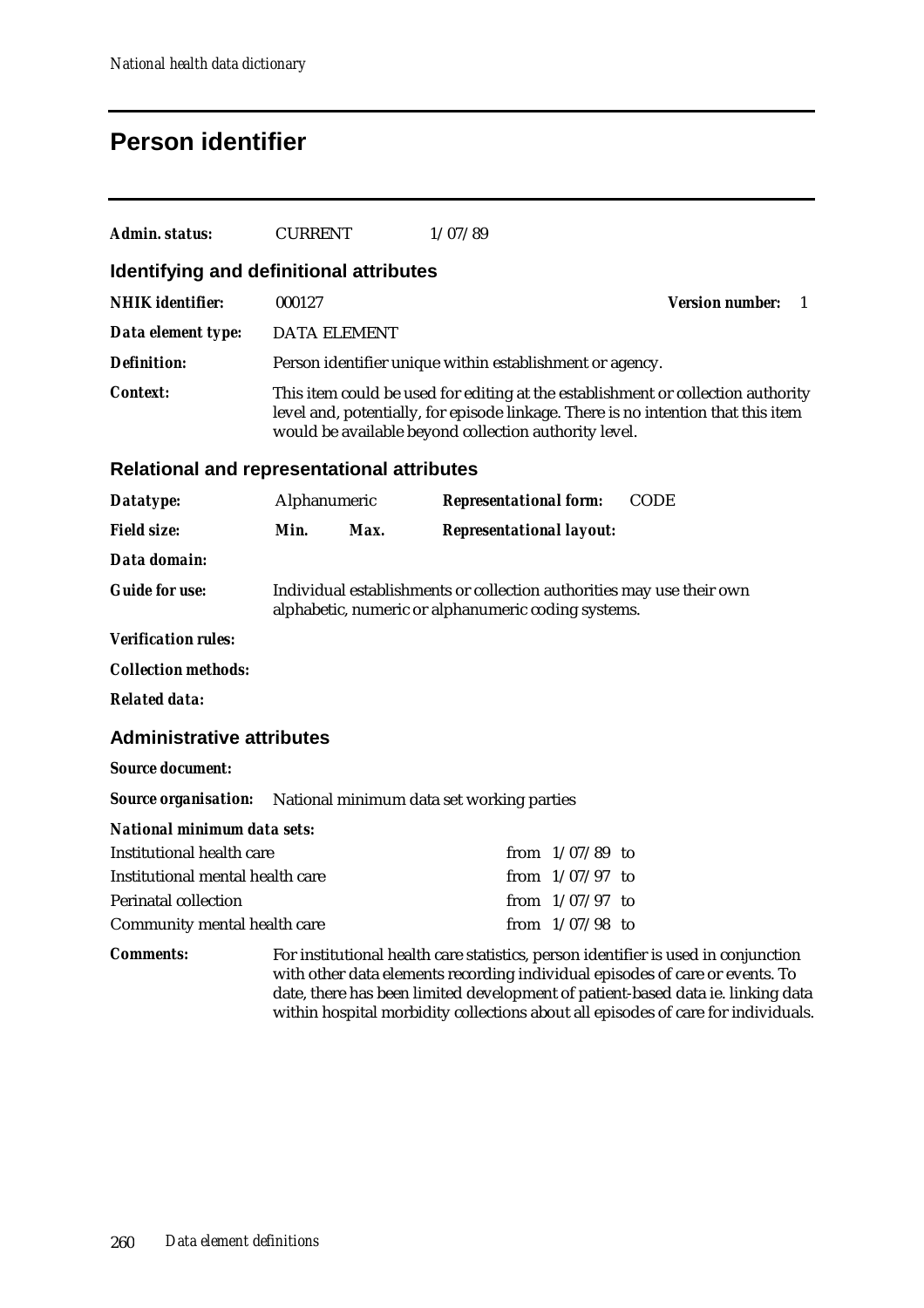## **Person identifier**

| Admin. status:                                                        | <b>CURRENT</b>                                                                                                                                                                                                                 |      | 1/07/89                                                  |                   |                                                                                                                                                                                                                                                                                                                                            |  |
|-----------------------------------------------------------------------|--------------------------------------------------------------------------------------------------------------------------------------------------------------------------------------------------------------------------------|------|----------------------------------------------------------|-------------------|--------------------------------------------------------------------------------------------------------------------------------------------------------------------------------------------------------------------------------------------------------------------------------------------------------------------------------------------|--|
| Identifying and definitional attributes                               |                                                                                                                                                                                                                                |      |                                                          |                   |                                                                                                                                                                                                                                                                                                                                            |  |
| <b>NHIK</b> identifier:                                               | 000127                                                                                                                                                                                                                         |      |                                                          |                   | <b>Version number:</b><br>$\overline{1}$                                                                                                                                                                                                                                                                                                   |  |
| Data element type:                                                    | <b>DATA ELEMENT</b>                                                                                                                                                                                                            |      |                                                          |                   |                                                                                                                                                                                                                                                                                                                                            |  |
| <b>Definition:</b>                                                    |                                                                                                                                                                                                                                |      | Person identifier unique within establishment or agency. |                   |                                                                                                                                                                                                                                                                                                                                            |  |
| <b>Context:</b>                                                       | This item could be used for editing at the establishment or collection authority<br>level and, potentially, for episode linkage. There is no intention that this item<br>would be available beyond collection authority level. |      |                                                          |                   |                                                                                                                                                                                                                                                                                                                                            |  |
| <b>Relational and representational attributes</b>                     |                                                                                                                                                                                                                                |      |                                                          |                   |                                                                                                                                                                                                                                                                                                                                            |  |
| Datatype:                                                             | Alphanumeric                                                                                                                                                                                                                   |      | <b>Representational form:</b>                            |                   | <b>CODE</b>                                                                                                                                                                                                                                                                                                                                |  |
| <b>Field size:</b>                                                    | Min.                                                                                                                                                                                                                           | Max. | <b>Representational layout:</b>                          |                   |                                                                                                                                                                                                                                                                                                                                            |  |
| Data domain:                                                          |                                                                                                                                                                                                                                |      |                                                          |                   |                                                                                                                                                                                                                                                                                                                                            |  |
| <b>Guide for use:</b>                                                 | Individual establishments or collection authorities may use their own<br>alphabetic, numeric or alphanumeric coding systems.                                                                                                   |      |                                                          |                   |                                                                                                                                                                                                                                                                                                                                            |  |
| <b>Verification rules:</b>                                            |                                                                                                                                                                                                                                |      |                                                          |                   |                                                                                                                                                                                                                                                                                                                                            |  |
| <b>Collection methods:</b>                                            |                                                                                                                                                                                                                                |      |                                                          |                   |                                                                                                                                                                                                                                                                                                                                            |  |
| <b>Related data:</b>                                                  |                                                                                                                                                                                                                                |      |                                                          |                   |                                                                                                                                                                                                                                                                                                                                            |  |
| <b>Administrative attributes</b>                                      |                                                                                                                                                                                                                                |      |                                                          |                   |                                                                                                                                                                                                                                                                                                                                            |  |
| <b>Source document:</b>                                               |                                                                                                                                                                                                                                |      |                                                          |                   |                                                                                                                                                                                                                                                                                                                                            |  |
| <b>Source organisation:</b> National minimum data set working parties |                                                                                                                                                                                                                                |      |                                                          |                   |                                                                                                                                                                                                                                                                                                                                            |  |
| National minimum data sets:                                           |                                                                                                                                                                                                                                |      |                                                          |                   |                                                                                                                                                                                                                                                                                                                                            |  |
| <b>Institutional health care</b>                                      |                                                                                                                                                                                                                                |      |                                                          | from $1/07/89$ to |                                                                                                                                                                                                                                                                                                                                            |  |
|                                                                       | Institutional mental health care<br>from $1/07/97$ to                                                                                                                                                                          |      |                                                          |                   |                                                                                                                                                                                                                                                                                                                                            |  |
| <b>Perinatal collection</b>                                           |                                                                                                                                                                                                                                |      |                                                          | from $1/07/97$ to |                                                                                                                                                                                                                                                                                                                                            |  |
| Community mental health care                                          |                                                                                                                                                                                                                                |      |                                                          | from $1/07/98$ to |                                                                                                                                                                                                                                                                                                                                            |  |
| <b>Comments:</b>                                                      |                                                                                                                                                                                                                                |      |                                                          |                   | For institutional health care statistics, person identifier is used in conjunction<br>with other data elements recording individual episodes of care or events. To<br>date, there has been limited development of patient-based data ie. linking data<br>within hospital morbidity collections about all episodes of care for individuals. |  |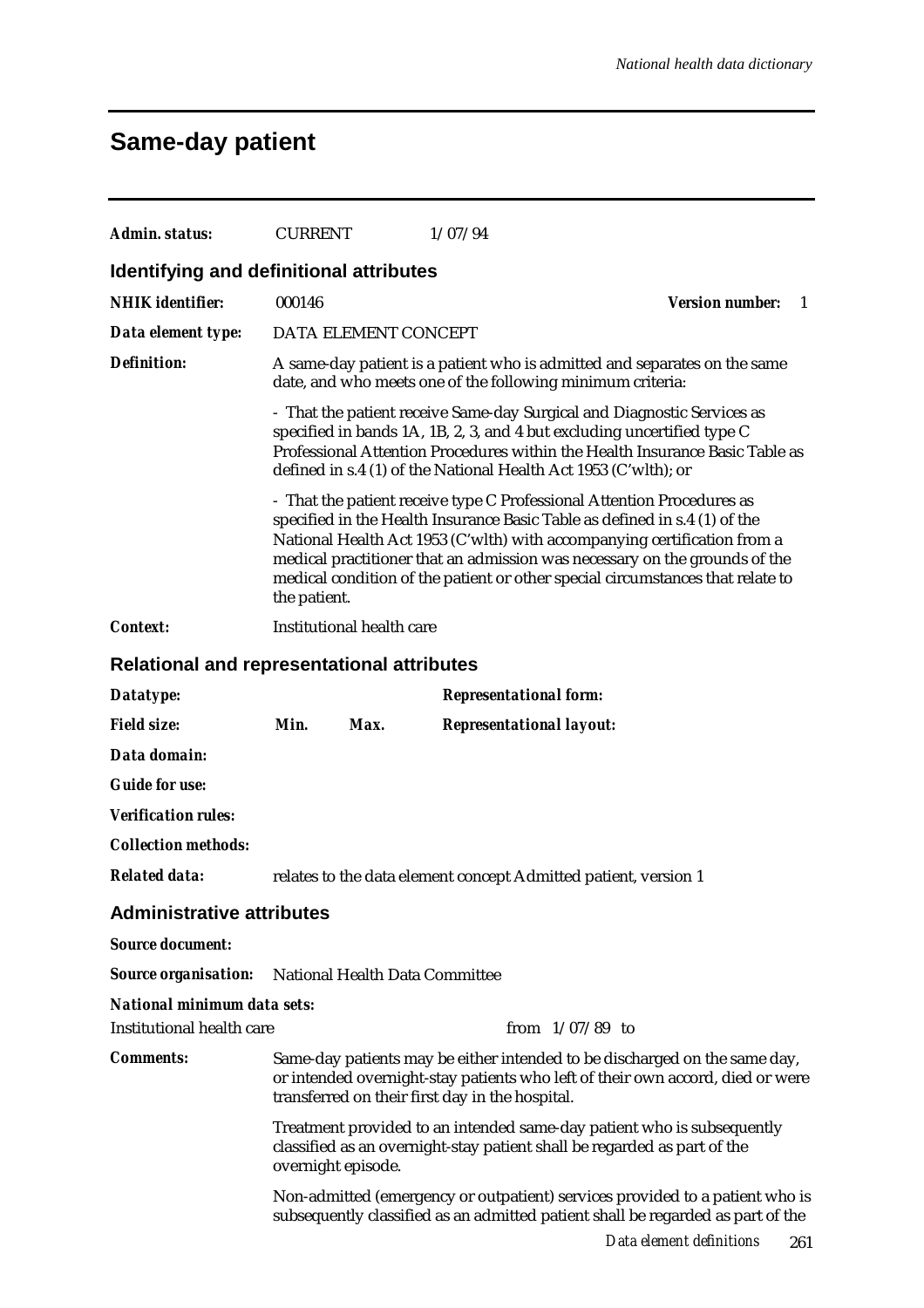# **Same-day patient**

| Admin. status:                                           | <b>CURRENT</b>                                  | 1/07/94                                                                                                                                                                                                                                                                                                                                                                                          |                                        |  |  |  |  |
|----------------------------------------------------------|-------------------------------------------------|--------------------------------------------------------------------------------------------------------------------------------------------------------------------------------------------------------------------------------------------------------------------------------------------------------------------------------------------------------------------------------------------------|----------------------------------------|--|--|--|--|
| Identifying and definitional attributes                  |                                                 |                                                                                                                                                                                                                                                                                                                                                                                                  |                                        |  |  |  |  |
| <b>NHIK</b> identifier:                                  | 000146                                          |                                                                                                                                                                                                                                                                                                                                                                                                  | <b>Version number:</b><br>$\mathbf{1}$ |  |  |  |  |
| Data element type:                                       | DATA ELEMENT CONCEPT                            |                                                                                                                                                                                                                                                                                                                                                                                                  |                                        |  |  |  |  |
| <b>Definition:</b>                                       |                                                 | A same-day patient is a patient who is admitted and separates on the same<br>date, and who meets one of the following minimum criteria:                                                                                                                                                                                                                                                          |                                        |  |  |  |  |
|                                                          |                                                 | - That the patient receive Same-day Surgical and Diagnostic Services as<br>specified in bands 1A, 1B, 2, 3, and 4 but excluding uncertified type C<br>Professional Attention Procedures within the Health Insurance Basic Table as<br>defined in s.4 (1) of the National Health Act 1953 (C'wlth); or                                                                                            |                                        |  |  |  |  |
|                                                          | the patient.                                    | - That the patient receive type C Professional Attention Procedures as<br>specified in the Health Insurance Basic Table as defined in s.4 (1) of the<br>National Health Act 1953 (C'wlth) with accompanying certification from a<br>medical practitioner that an admission was necessary on the grounds of the<br>medical condition of the patient or other special circumstances that relate to |                                        |  |  |  |  |
| <b>Context:</b>                                          | Institutional health care                       |                                                                                                                                                                                                                                                                                                                                                                                                  |                                        |  |  |  |  |
| <b>Relational and representational attributes</b>        |                                                 |                                                                                                                                                                                                                                                                                                                                                                                                  |                                        |  |  |  |  |
| Datatype:                                                |                                                 | <b>Representational form:</b>                                                                                                                                                                                                                                                                                                                                                                    |                                        |  |  |  |  |
| <b>Field size:</b>                                       | Min.<br>Max.                                    | <b>Representational layout:</b>                                                                                                                                                                                                                                                                                                                                                                  |                                        |  |  |  |  |
| Data domain:                                             |                                                 |                                                                                                                                                                                                                                                                                                                                                                                                  |                                        |  |  |  |  |
| <b>Guide for use:</b>                                    |                                                 |                                                                                                                                                                                                                                                                                                                                                                                                  |                                        |  |  |  |  |
| <b>Verification rules:</b>                               |                                                 |                                                                                                                                                                                                                                                                                                                                                                                                  |                                        |  |  |  |  |
| <b>Collection methods:</b>                               |                                                 |                                                                                                                                                                                                                                                                                                                                                                                                  |                                        |  |  |  |  |
| <b>Related data:</b>                                     |                                                 | relates to the data element concept Admitted patient, version 1                                                                                                                                                                                                                                                                                                                                  |                                        |  |  |  |  |
| <b>Administrative attributes</b>                         |                                                 |                                                                                                                                                                                                                                                                                                                                                                                                  |                                        |  |  |  |  |
| <b>Source document:</b>                                  |                                                 |                                                                                                                                                                                                                                                                                                                                                                                                  |                                        |  |  |  |  |
| <b>Source organisation:</b>                              | National Health Data Committee                  |                                                                                                                                                                                                                                                                                                                                                                                                  |                                        |  |  |  |  |
| National minimum data sets:<br>Institutional health care |                                                 | from $1/07/89$ to                                                                                                                                                                                                                                                                                                                                                                                |                                        |  |  |  |  |
| <b>Comments:</b>                                         | transferred on their first day in the hospital. | Same-day patients may be either intended to be discharged on the same day,<br>or intended overnight-stay patients who left of their own accord, died or were                                                                                                                                                                                                                                     |                                        |  |  |  |  |
|                                                          | overnight episode.                              | Treatment provided to an intended same-day patient who is subsequently<br>classified as an overnight-stay patient shall be regarded as part of the                                                                                                                                                                                                                                               |                                        |  |  |  |  |
|                                                          |                                                 | Non-admitted (emergency or outpatient) services provided to a patient who is<br>subsequently classified as an admitted patient shall be regarded as part of the                                                                                                                                                                                                                                  |                                        |  |  |  |  |
|                                                          |                                                 |                                                                                                                                                                                                                                                                                                                                                                                                  | Data element definitions<br>261        |  |  |  |  |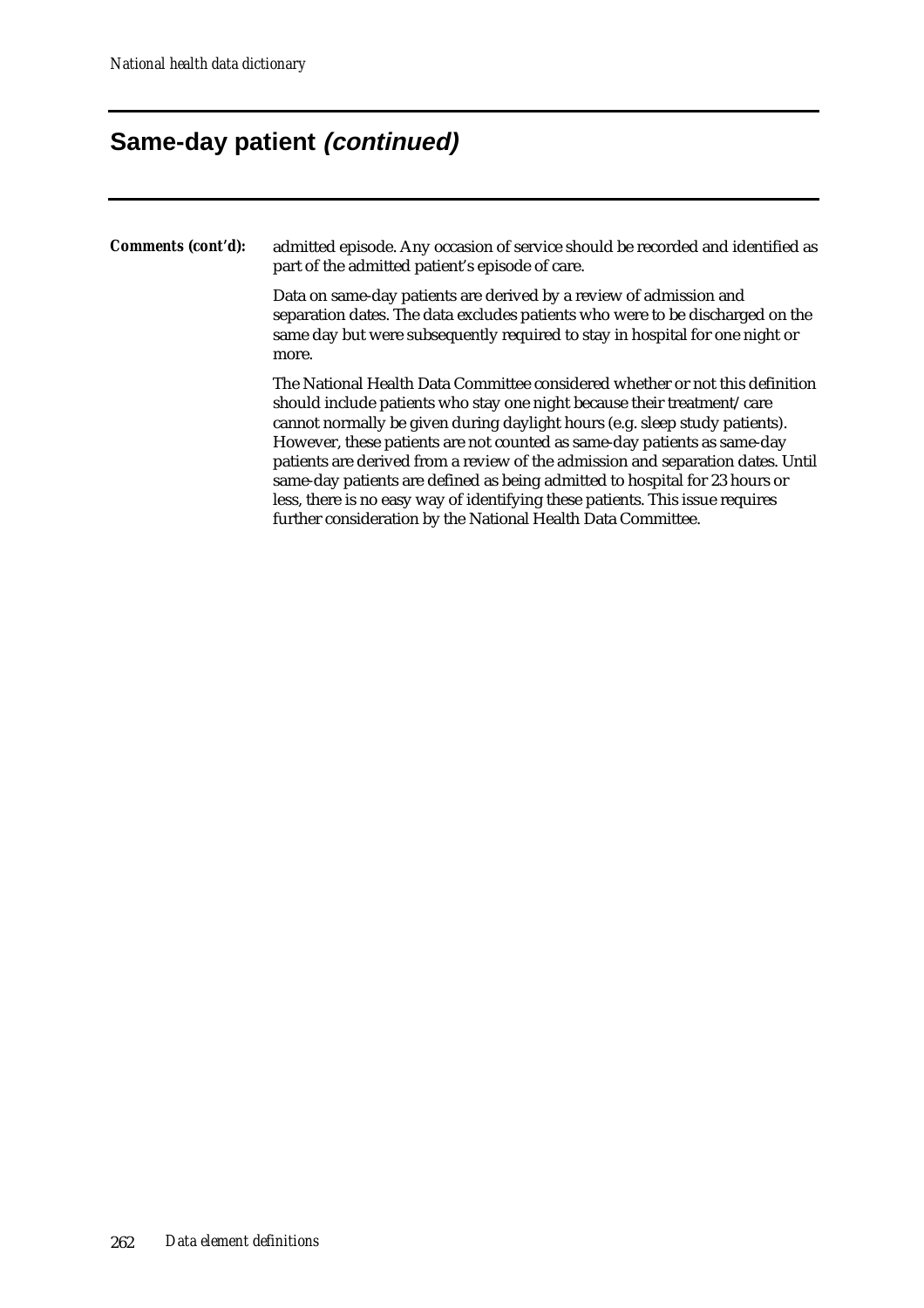### **Same-day patient (continued)**

*Comments (cont'd):* admitted episode. Any occasion of service should be recorded and identified as part of the admitted patient's episode of care.

> Data on same-day patients are derived by a review of admission and separation dates. The data excludes patients who were to be discharged on the same day but were subsequently required to stay in hospital for one night or more.

> The National Health Data Committee considered whether or not this definition should include patients who stay one night because their treatment/care cannot normally be given during daylight hours (e.g. sleep study patients). However, these patients are not counted as same-day patients as same-day patients are derived from a review of the admission and separation dates. Until same-day patients are defined as being admitted to hospital for 23 hours or less, there is no easy way of identifying these patients. This issue requires further consideration by the National Health Data Committee.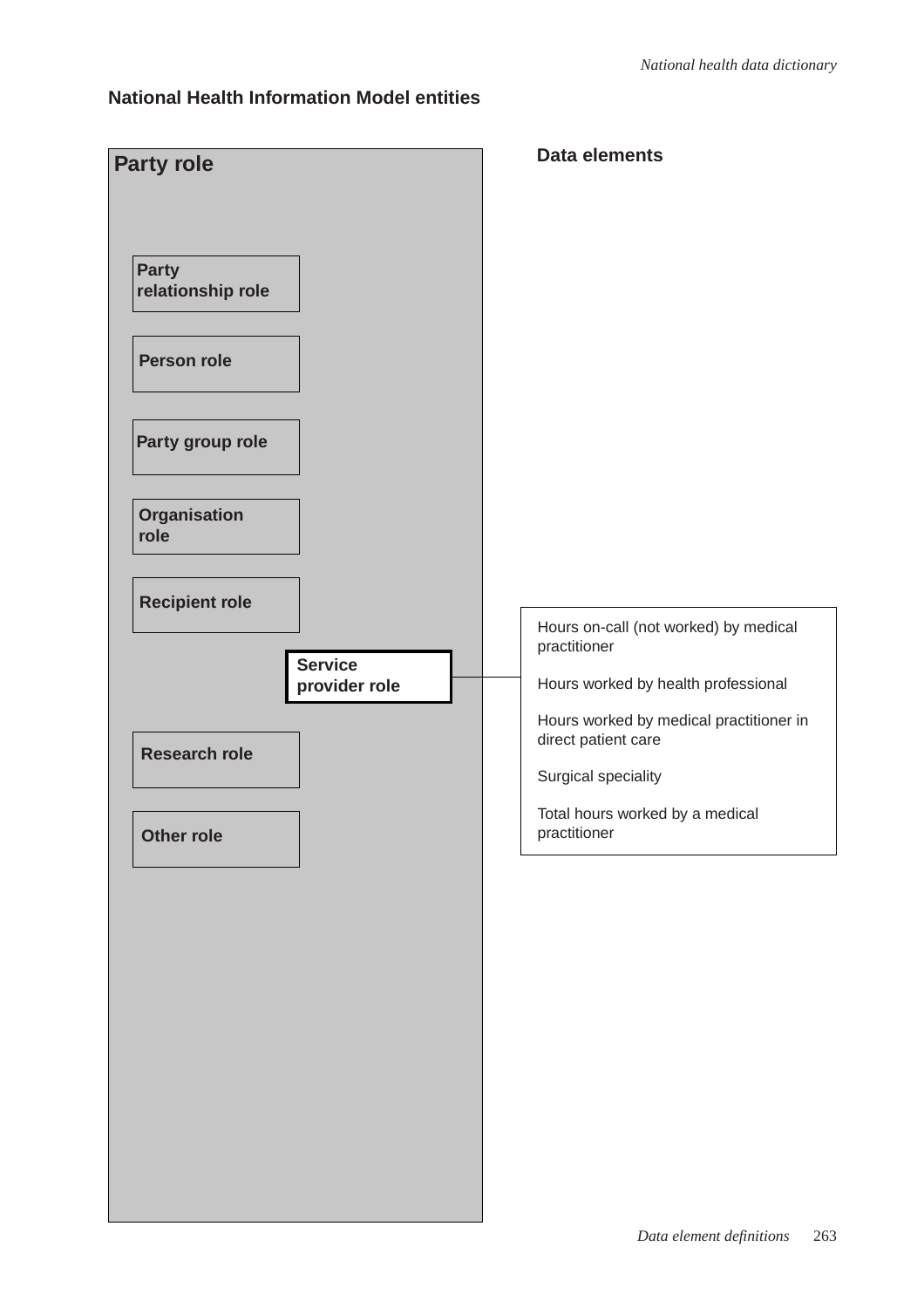### **National Health Information Model entities**

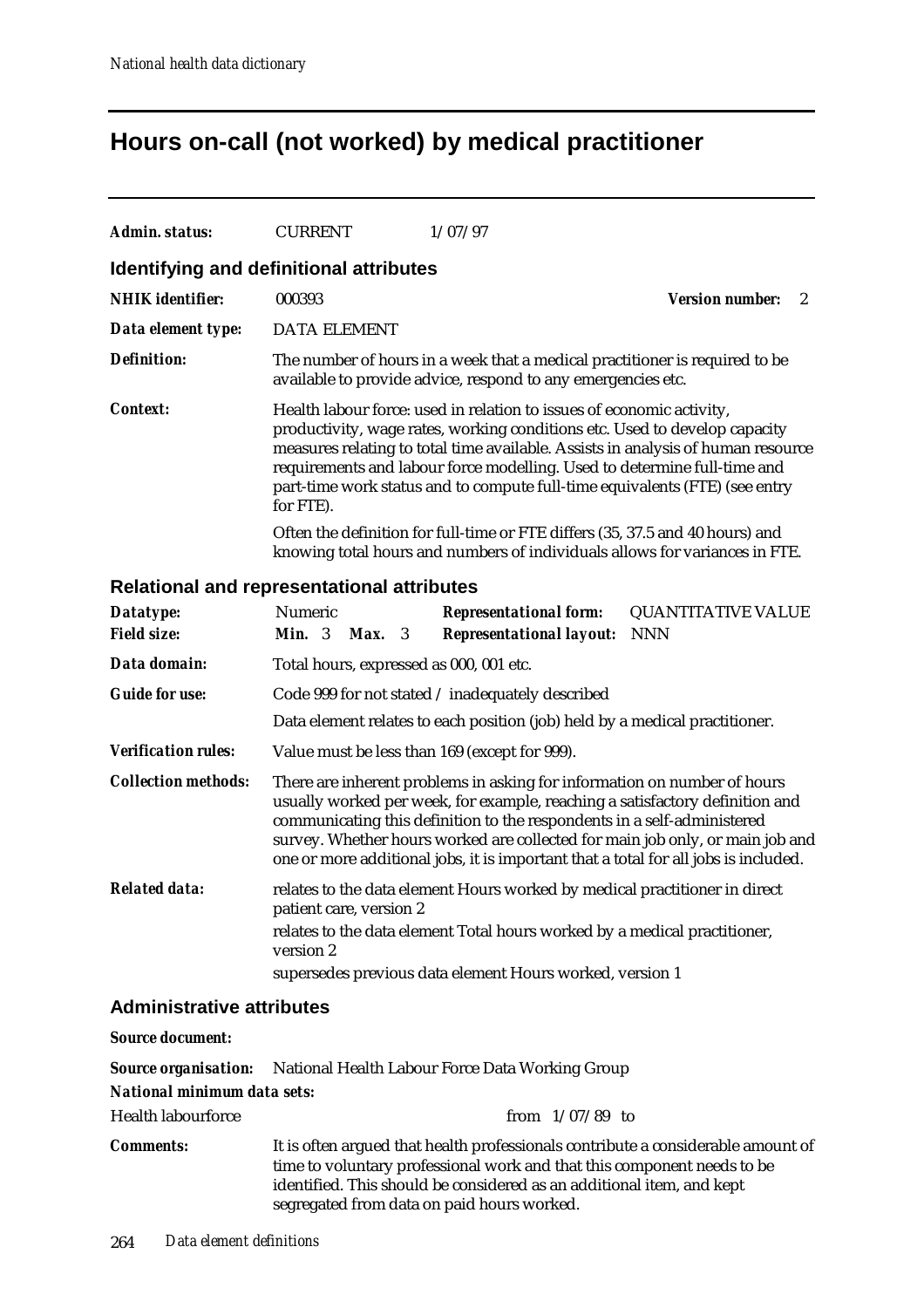## **Hours on-call (not worked) by medical practitioner**

| Admin. status:                                    | <b>CURRENT</b>                       | 1/07/97                                                                                                                                                                                                                                                                                                                                                                                                     |                             |
|---------------------------------------------------|--------------------------------------|-------------------------------------------------------------------------------------------------------------------------------------------------------------------------------------------------------------------------------------------------------------------------------------------------------------------------------------------------------------------------------------------------------------|-----------------------------|
| Identifying and definitional attributes           |                                      |                                                                                                                                                                                                                                                                                                                                                                                                             |                             |
| <b>NHIK</b> identifier:                           | 000393                               |                                                                                                                                                                                                                                                                                                                                                                                                             | <b>Version number:</b><br>2 |
| Data element type:                                | <b>DATA ELEMENT</b>                  |                                                                                                                                                                                                                                                                                                                                                                                                             |                             |
| <b>Definition:</b>                                |                                      | The number of hours in a week that a medical practitioner is required to be<br>available to provide advice, respond to any emergencies etc.                                                                                                                                                                                                                                                                 |                             |
| <b>Context:</b>                                   | for FTE).                            | Health labour force: used in relation to issues of economic activity,<br>productivity, wage rates, working conditions etc. Used to develop capacity<br>measures relating to total time available. Assists in analysis of human resource<br>requirements and labour force modelling. Used to determine full-time and<br>part-time work status and to compute full-time equivalents (FTE) (see entry          |                             |
|                                                   |                                      | Often the definition for full-time or FTE differs (35, 37.5 and 40 hours) and<br>knowing total hours and numbers of individuals allows for variances in FTE.                                                                                                                                                                                                                                                |                             |
| <b>Relational and representational attributes</b> |                                      |                                                                                                                                                                                                                                                                                                                                                                                                             |                             |
| Datatype:                                         | Numeric                              | <b>Representational form:</b>                                                                                                                                                                                                                                                                                                                                                                               | <b>QUANTITATIVE VALUE</b>   |
| <b>Field size:</b>                                | Min. 3<br><b>Max.</b> 3              | <b>Representational layout:</b>                                                                                                                                                                                                                                                                                                                                                                             | <b>NNN</b>                  |
| Data domain:                                      |                                      | Total hours, expressed as 000, 001 etc.                                                                                                                                                                                                                                                                                                                                                                     |                             |
| <b>Guide for use:</b>                             |                                      | Code 999 for not stated / inadequately described                                                                                                                                                                                                                                                                                                                                                            |                             |
|                                                   |                                      | Data element relates to each position (job) held by a medical practitioner.                                                                                                                                                                                                                                                                                                                                 |                             |
| <b>Verification rules:</b>                        |                                      | Value must be less than 169 (except for 999).                                                                                                                                                                                                                                                                                                                                                               |                             |
| <b>Collection methods:</b>                        |                                      | There are inherent problems in asking for information on number of hours<br>usually worked per week, for example, reaching a satisfactory definition and<br>communicating this definition to the respondents in a self-administered<br>survey. Whether hours worked are collected for main job only, or main job and<br>one or more additional jobs, it is important that a total for all jobs is included. |                             |
| <b>Related data:</b>                              | patient care, version 2<br>version 2 | relates to the data element Hours worked by medical practitioner in direct<br>relates to the data element Total hours worked by a medical practitioner,<br>supersedes previous data element Hours worked, version 1                                                                                                                                                                                         |                             |
|                                                   |                                      |                                                                                                                                                                                                                                                                                                                                                                                                             |                             |

### **Administrative attributes**

| <b>Source document:</b>     |                                                                                                                                                                                                                                                                                    |
|-----------------------------|------------------------------------------------------------------------------------------------------------------------------------------------------------------------------------------------------------------------------------------------------------------------------------|
|                             | <b>Source organisation:</b> National Health Labour Force Data Working Group                                                                                                                                                                                                        |
| National minimum data sets: |                                                                                                                                                                                                                                                                                    |
| <b>Health labourforce</b>   | from $1/07/89$ to                                                                                                                                                                                                                                                                  |
| <b>Comments:</b>            | It is often argued that health professionals contribute a considerable amount of<br>time to voluntary professional work and that this component needs to be<br>identified. This should be considered as an additional item, and kept<br>segregated from data on paid hours worked. |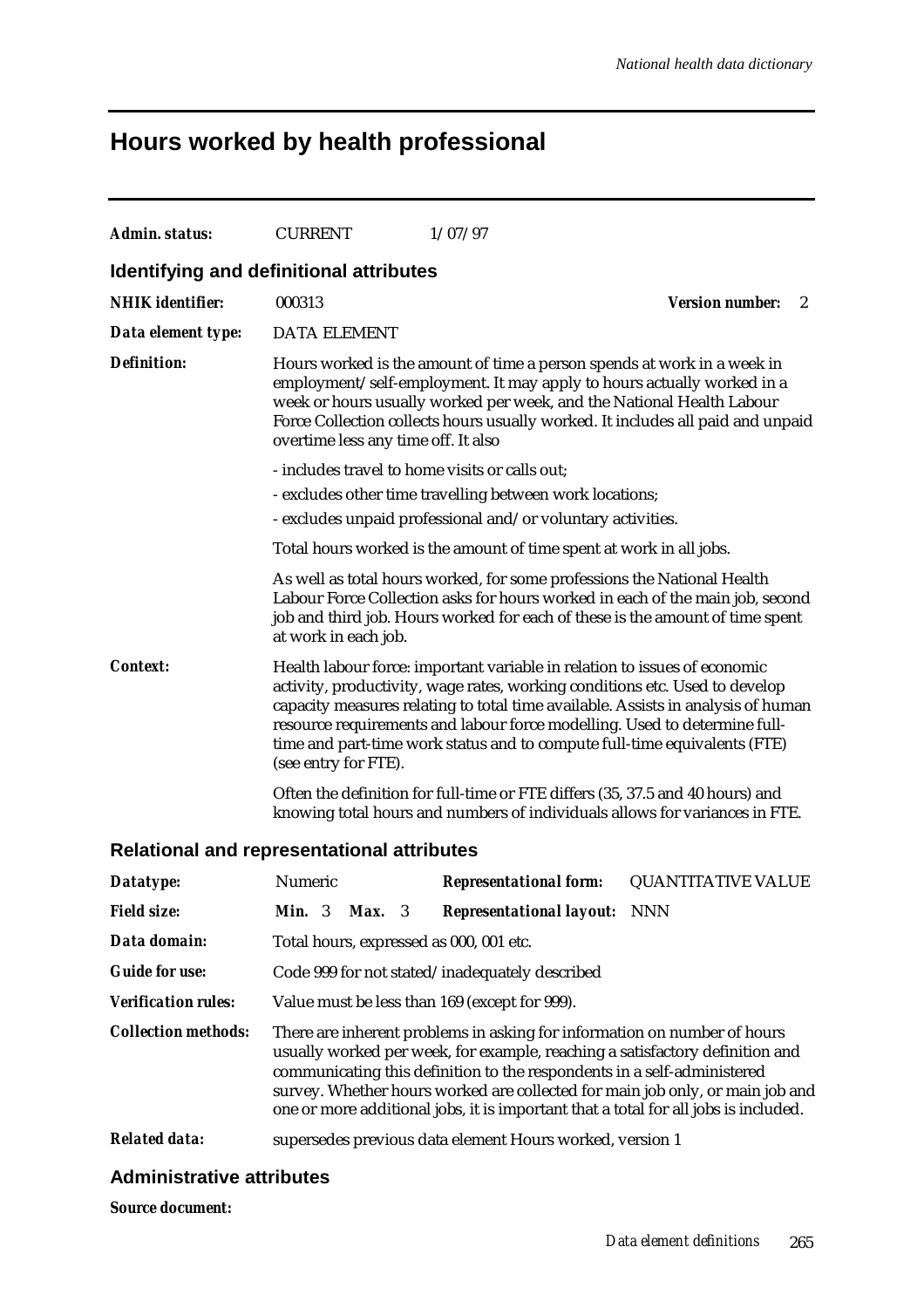### **Hours worked by health professional**

| <b>Admin. status:</b>                             | <b>CURRENT</b>                                                                                                                                                                                                                                                                                                                                       | 1/07/97                                                                                                                                                                                                                                                                                                                                                                                                |                             |  |  |  |  |
|---------------------------------------------------|------------------------------------------------------------------------------------------------------------------------------------------------------------------------------------------------------------------------------------------------------------------------------------------------------------------------------------------------------|--------------------------------------------------------------------------------------------------------------------------------------------------------------------------------------------------------------------------------------------------------------------------------------------------------------------------------------------------------------------------------------------------------|-----------------------------|--|--|--|--|
| Identifying and definitional attributes           |                                                                                                                                                                                                                                                                                                                                                      |                                                                                                                                                                                                                                                                                                                                                                                                        |                             |  |  |  |  |
| <b>NHIK</b> identifier:                           | 000313                                                                                                                                                                                                                                                                                                                                               |                                                                                                                                                                                                                                                                                                                                                                                                        | <b>Version number:</b><br>2 |  |  |  |  |
| Data element type:                                | <b>DATA ELEMENT</b>                                                                                                                                                                                                                                                                                                                                  |                                                                                                                                                                                                                                                                                                                                                                                                        |                             |  |  |  |  |
| <b>Definition:</b>                                | Hours worked is the amount of time a person spends at work in a week in<br>employment/self-employment. It may apply to hours actually worked in a<br>week or hours usually worked per week, and the National Health Labour<br>Force Collection collects hours usually worked. It includes all paid and unpaid<br>overtime less any time off. It also |                                                                                                                                                                                                                                                                                                                                                                                                        |                             |  |  |  |  |
|                                                   |                                                                                                                                                                                                                                                                                                                                                      | - includes travel to home visits or calls out;                                                                                                                                                                                                                                                                                                                                                         |                             |  |  |  |  |
|                                                   |                                                                                                                                                                                                                                                                                                                                                      | - excludes other time travelling between work locations;                                                                                                                                                                                                                                                                                                                                               |                             |  |  |  |  |
|                                                   | - excludes unpaid professional and/or voluntary activities.                                                                                                                                                                                                                                                                                          |                                                                                                                                                                                                                                                                                                                                                                                                        |                             |  |  |  |  |
|                                                   |                                                                                                                                                                                                                                                                                                                                                      | Total hours worked is the amount of time spent at work in all jobs.                                                                                                                                                                                                                                                                                                                                    |                             |  |  |  |  |
|                                                   | at work in each job.                                                                                                                                                                                                                                                                                                                                 | As well as total hours worked, for some professions the National Health<br>Labour Force Collection asks for hours worked in each of the main job, second<br>job and third job. Hours worked for each of these is the amount of time spent                                                                                                                                                              |                             |  |  |  |  |
| <b>Context:</b>                                   | (see entry for FTE).                                                                                                                                                                                                                                                                                                                                 | Health labour force: important variable in relation to issues of economic<br>activity, productivity, wage rates, working conditions etc. Used to develop<br>capacity measures relating to total time available. Assists in analysis of human<br>resource requirements and labour force modelling. Used to determine full-<br>time and part-time work status and to compute full-time equivalents (FTE) |                             |  |  |  |  |
|                                                   |                                                                                                                                                                                                                                                                                                                                                      | Often the definition for full-time or FTE differs (35, 37.5 and 40 hours) and<br>knowing total hours and numbers of individuals allows for variances in FTE.                                                                                                                                                                                                                                           |                             |  |  |  |  |
| <b>Relational and representational attributes</b> |                                                                                                                                                                                                                                                                                                                                                      |                                                                                                                                                                                                                                                                                                                                                                                                        |                             |  |  |  |  |
| Datatype:                                         | Numeric                                                                                                                                                                                                                                                                                                                                              | <b>Representational form:</b>                                                                                                                                                                                                                                                                                                                                                                          | <b>QUANTITATIVE VALUE</b>   |  |  |  |  |
| <b>Field size:</b>                                | <b>Min.</b> $3$<br>Max. 3                                                                                                                                                                                                                                                                                                                            | <b>Representational layout:</b>                                                                                                                                                                                                                                                                                                                                                                        | <b>NNN</b>                  |  |  |  |  |
| Data domain:                                      | Total hours, expressed as 000, 001 etc.                                                                                                                                                                                                                                                                                                              |                                                                                                                                                                                                                                                                                                                                                                                                        |                             |  |  |  |  |

*Verification rules:* Value must be less than 169 (except for 999).

*Guide for use:* Code 999 for not stated/inadequately described

- *Collection methods:* There are inherent problems in asking for information on number of hours usually worked per week, for example, reaching a satisfactory definition and communicating this definition to the respondents in a self-administered survey. Whether hours worked are collected for main job only, or main job and one or more additional jobs, it is important that a total for all jobs is included.
- *Related data:* supersedes previous data element Hours worked, version 1

#### **Administrative attributes**

*Source document:*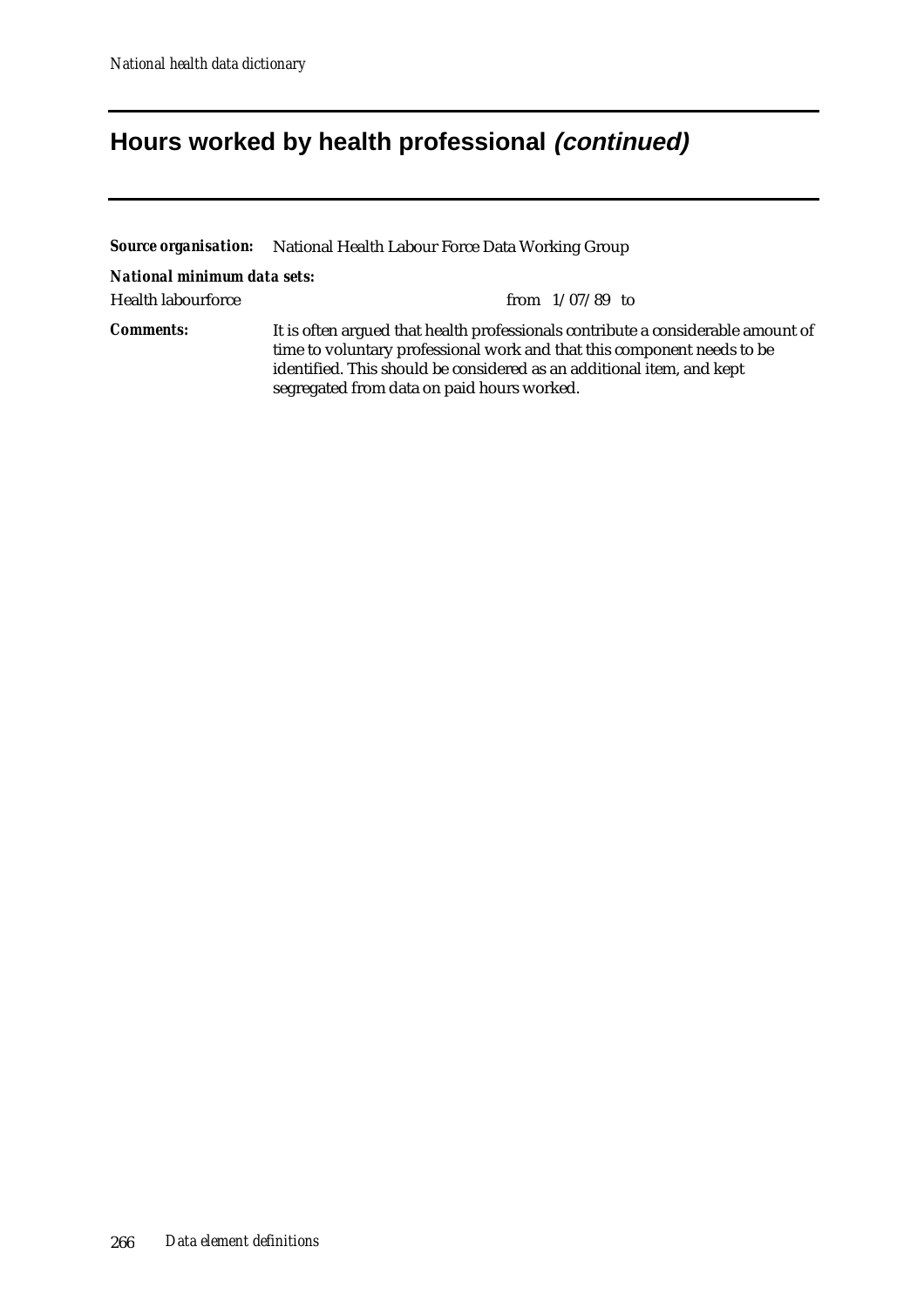# **Hours worked by health professional (continued)**

|                             | <b>Source organisation:</b> National Health Labour Force Data Working Group                                                                                                                                                                                                        |  |  |  |  |  |
|-----------------------------|------------------------------------------------------------------------------------------------------------------------------------------------------------------------------------------------------------------------------------------------------------------------------------|--|--|--|--|--|
| National minimum data sets: |                                                                                                                                                                                                                                                                                    |  |  |  |  |  |
| Health labourforce          | from $1/07/89$ to                                                                                                                                                                                                                                                                  |  |  |  |  |  |
| <b>Comments:</b>            | It is often argued that health professionals contribute a considerable amount of<br>time to voluntary professional work and that this component needs to be<br>identified. This should be considered as an additional item, and kept<br>segregated from data on paid hours worked. |  |  |  |  |  |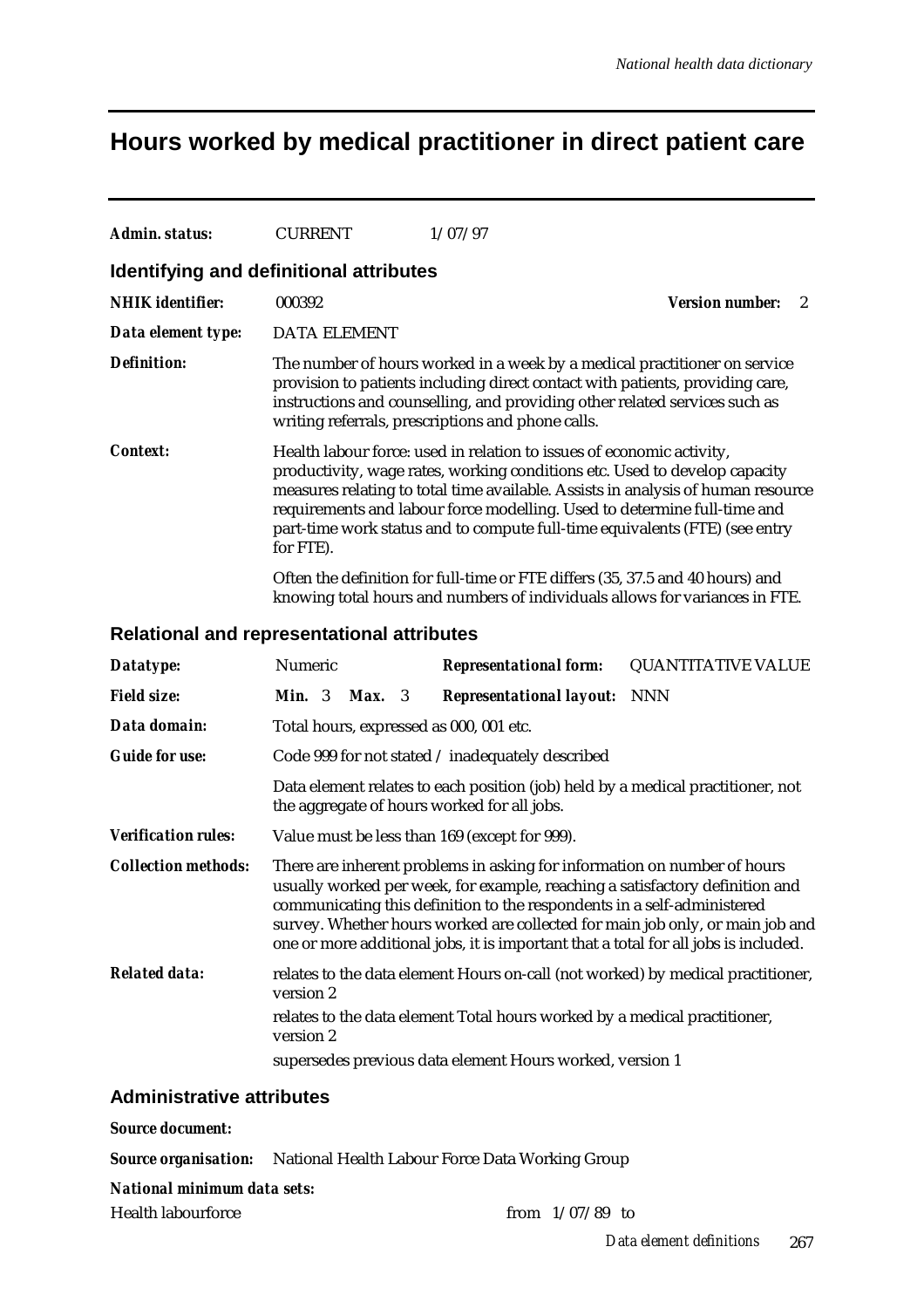## **Hours worked by medical practitioner in direct patient care**

| Admin. status:                          | <b>CURRENT</b>      | 1/07/97                                                               |                                                                                                                                                                                                                                                                                                                           |
|-----------------------------------------|---------------------|-----------------------------------------------------------------------|---------------------------------------------------------------------------------------------------------------------------------------------------------------------------------------------------------------------------------------------------------------------------------------------------------------------------|
| Identifying and definitional attributes |                     |                                                                       |                                                                                                                                                                                                                                                                                                                           |
| <b>NHIK</b> identifier:                 | 000392              |                                                                       | <b>Version number:</b><br>2                                                                                                                                                                                                                                                                                               |
| Data element type:                      | <b>DATA ELEMENT</b> |                                                                       |                                                                                                                                                                                                                                                                                                                           |
| <b>Definition:</b>                      |                     | writing referrals, prescriptions and phone calls.                     | The number of hours worked in a week by a medical practitioner on service<br>provision to patients including direct contact with patients, providing care,<br>instructions and counselling, and providing other related services such as                                                                                  |
| Context:                                | for FTE).           | Health labour force: used in relation to issues of economic activity, | productivity, wage rates, working conditions etc. Used to develop capacity<br>measures relating to total time available. Assists in analysis of human resource<br>requirements and labour force modelling. Used to determine full-time and<br>part-time work status and to compute full-time equivalents (FTE) (see entry |
|                                         |                     |                                                                       | Often the definition for full-time or FTE differs (35, 37.5 and 40 hours) and<br>knowing total hours and numbers of individuals allows for variances in FTE.                                                                                                                                                              |

### **Relational and representational attributes**

| Datatype:                  | Numeric         |        | <b>Representational form:</b>                                                                                                                                                                                                                                                                                              | <b>QUANTITATIVE VALUE</b>                                                       |
|----------------------------|-----------------|--------|----------------------------------------------------------------------------------------------------------------------------------------------------------------------------------------------------------------------------------------------------------------------------------------------------------------------------|---------------------------------------------------------------------------------|
| <b>Field size:</b>         | <b>Min.</b> $3$ | Max. 3 | <b>Representational layout:</b>                                                                                                                                                                                                                                                                                            | <b>NNN</b>                                                                      |
| Data domain:               |                 |        | Total hours, expressed as 000, 001 etc.                                                                                                                                                                                                                                                                                    |                                                                                 |
| <b>Guide for use:</b>      |                 |        | Code 999 for not stated / inadequately described                                                                                                                                                                                                                                                                           |                                                                                 |
|                            |                 |        | Data element relates to each position (job) held by a medical practitioner, not<br>the aggregate of hours worked for all jobs.                                                                                                                                                                                             |                                                                                 |
| <b>Verification rules:</b> |                 |        | Value must be less than 169 (except for 999).                                                                                                                                                                                                                                                                              |                                                                                 |
| <b>Collection methods:</b> |                 |        | There are inherent problems in asking for information on number of hours<br>usually worked per week, for example, reaching a satisfactory definition and<br>communicating this definition to the respondents in a self-administered<br>one or more additional jobs, it is important that a total for all jobs is included. | survey. Whether hours worked are collected for main job only, or main job and   |
| <b>Related data:</b>       | version 2       |        |                                                                                                                                                                                                                                                                                                                            | relates to the data element Hours on-call (not worked) by medical practitioner, |
|                            | version 2       |        | relates to the data element Total hours worked by a medical practitioner,                                                                                                                                                                                                                                                  |                                                                                 |
|                            |                 |        | supersedes previous data element Hours worked, version 1                                                                                                                                                                                                                                                                   |                                                                                 |

### **Administrative attributes**

#### *Source document:*

*Source organisation:* National Health Labour Force Data Working Group

#### *National minimum data sets:*

Health labourforce from 1/07/89 to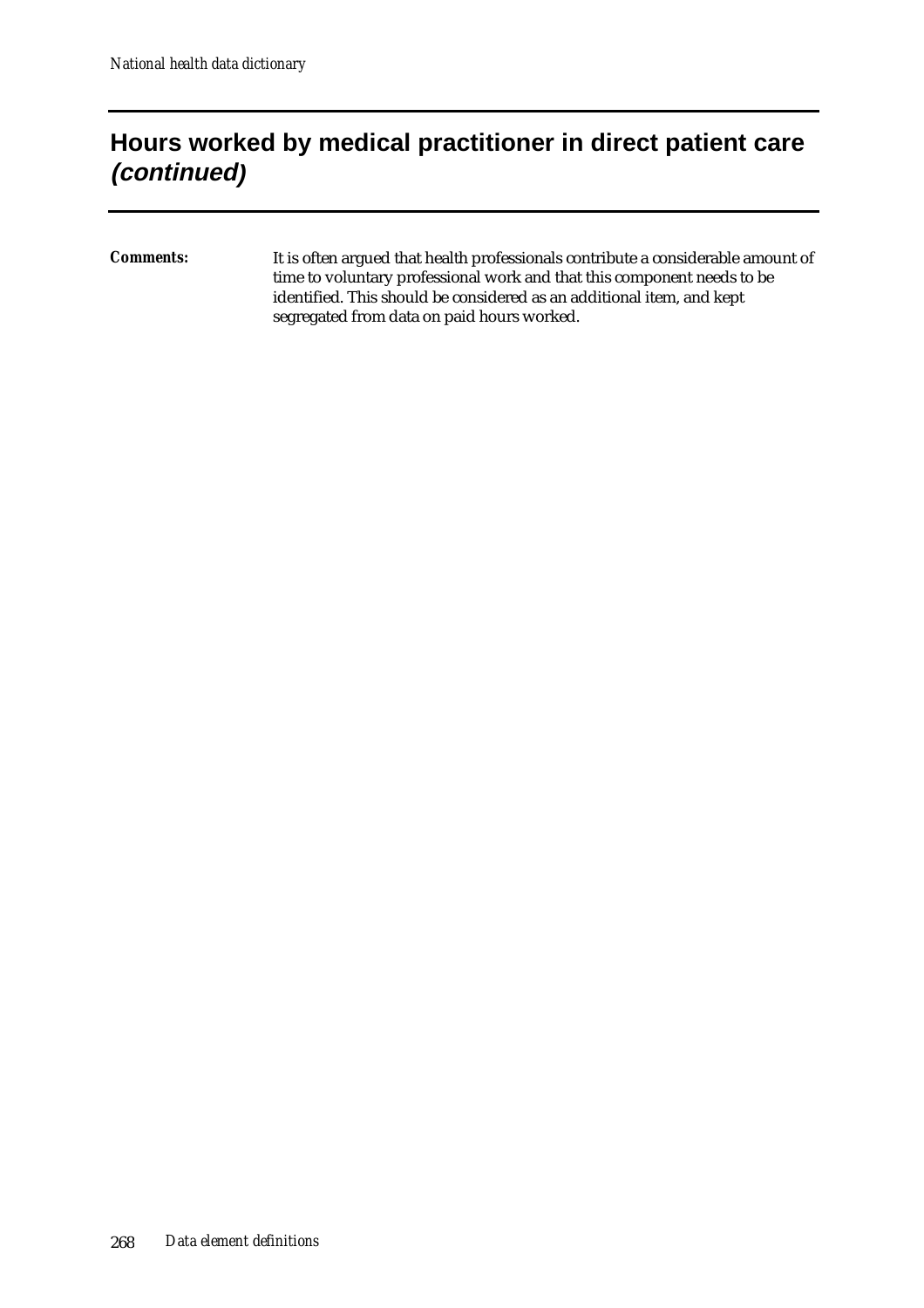## **Hours worked by medical practitioner in direct patient care (continued)**

*Comments:* It is often argued that health professionals contribute a considerable amount of time to voluntary professional work and that this component needs to be identified. This should be considered as an additional item, and kept segregated from data on paid hours worked.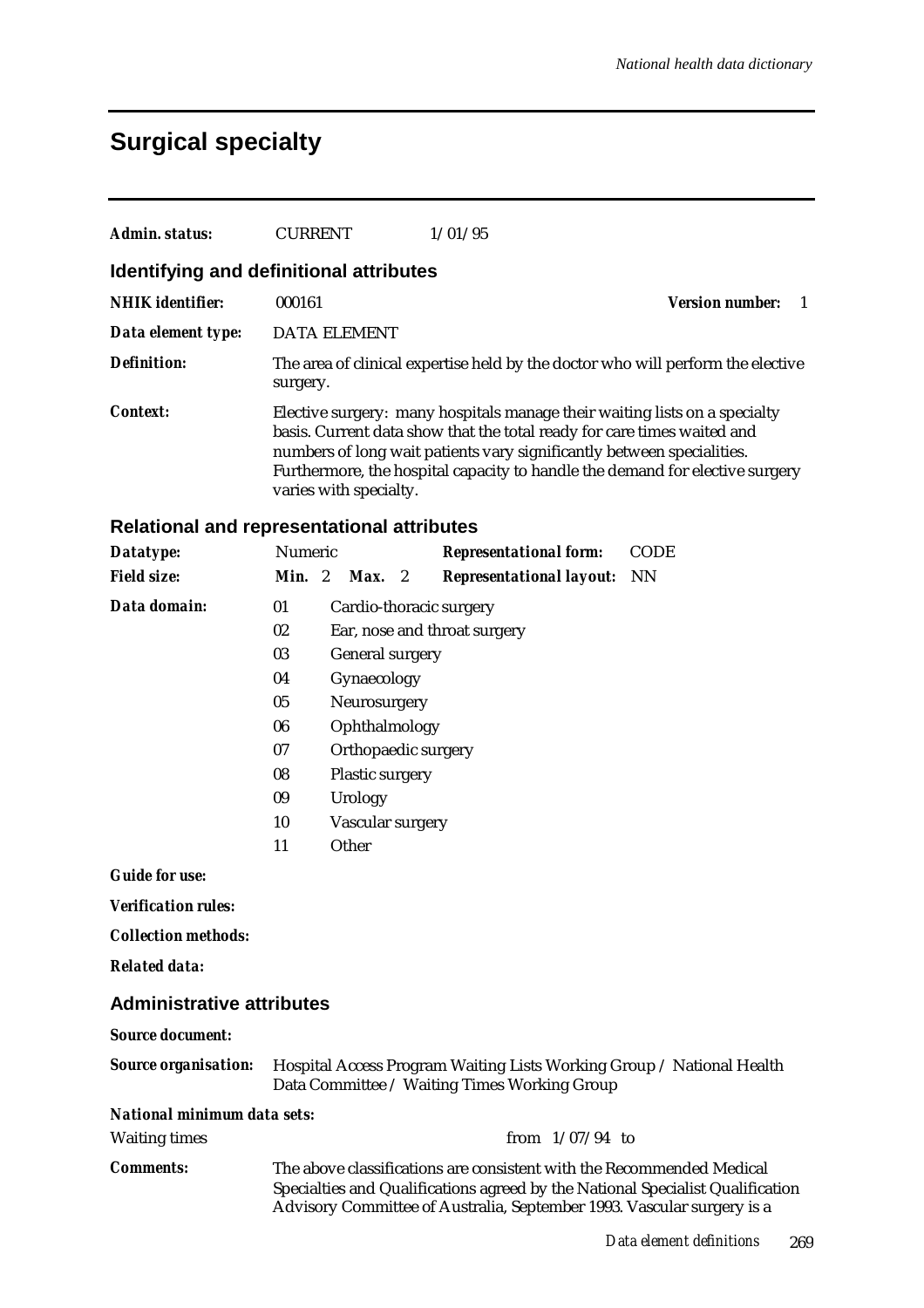### **Surgical specialty**

| Admin. status:                          | <b>CURRENT</b>         | 1/01/95                                                                                                                                                                                                                         |                                                                                 |
|-----------------------------------------|------------------------|---------------------------------------------------------------------------------------------------------------------------------------------------------------------------------------------------------------------------------|---------------------------------------------------------------------------------|
| Identifying and definitional attributes |                        |                                                                                                                                                                                                                                 |                                                                                 |
| <b>NHIK</b> identifier:                 | 000161                 |                                                                                                                                                                                                                                 | <b>Version number:</b>                                                          |
| Data element type:                      | <b>DATA ELEMENT</b>    |                                                                                                                                                                                                                                 |                                                                                 |
| <b>Definition:</b>                      | surgery.               |                                                                                                                                                                                                                                 | The area of clinical expertise held by the doctor who will perform the elective |
| <b>Context:</b>                         | varies with specialty. | Elective surgery: many hospitals manage their waiting lists on a specialty<br>basis. Current data show that the total ready for care times waited and<br>numbers of long wait patients vary significantly between specialities. | Furthermore, the hospital capacity to handle the demand for elective surgery    |

#### **Relational and representational attributes**

| Datatype:          | Numeric |                              | <b>Representational form:</b>   | CODE |  |  |
|--------------------|---------|------------------------------|---------------------------------|------|--|--|
| <b>Field size:</b> | Min. 2  | $Max.$ 2                     | <b>Representational layout:</b> | NN   |  |  |
| Data domain:       | 01      | Cardio-thoracic surgery      |                                 |      |  |  |
|                    | 02      | Ear, nose and throat surgery |                                 |      |  |  |
|                    | 03      | <b>General surgery</b>       |                                 |      |  |  |
|                    | 04      | Gynaecology                  |                                 |      |  |  |
|                    | 05      | Neurosurgery                 |                                 |      |  |  |
|                    | 06      | Ophthalmology                |                                 |      |  |  |
|                    | 07      | Orthopaedic surgery          |                                 |      |  |  |
|                    | 08      | <b>Plastic surgery</b>       |                                 |      |  |  |
|                    | 09      | Urology                      |                                 |      |  |  |
|                    | 10      | Vascular surgery             |                                 |      |  |  |
|                    | 11      | Other                        |                                 |      |  |  |
| $C$ uide for use   |         |                              |                                 |      |  |  |

*Guide for use:*

*Verification rules:*

*Collection methods:*

*Related data:*

#### **Administrative attributes**

#### *Source document:*

*Source organisation:* Hospital Access Program Waiting Lists Working Group / National Health Data Committee / Waiting Times Working Group *National minimum data sets:* Waiting times from 1/07/94 to

*Comments:* The above classifications are consistent with the Recommended Medical Specialties and Qualifications agreed by the National Specialist Qualification Advisory Committee of Australia, September 1993. Vascular surgery is a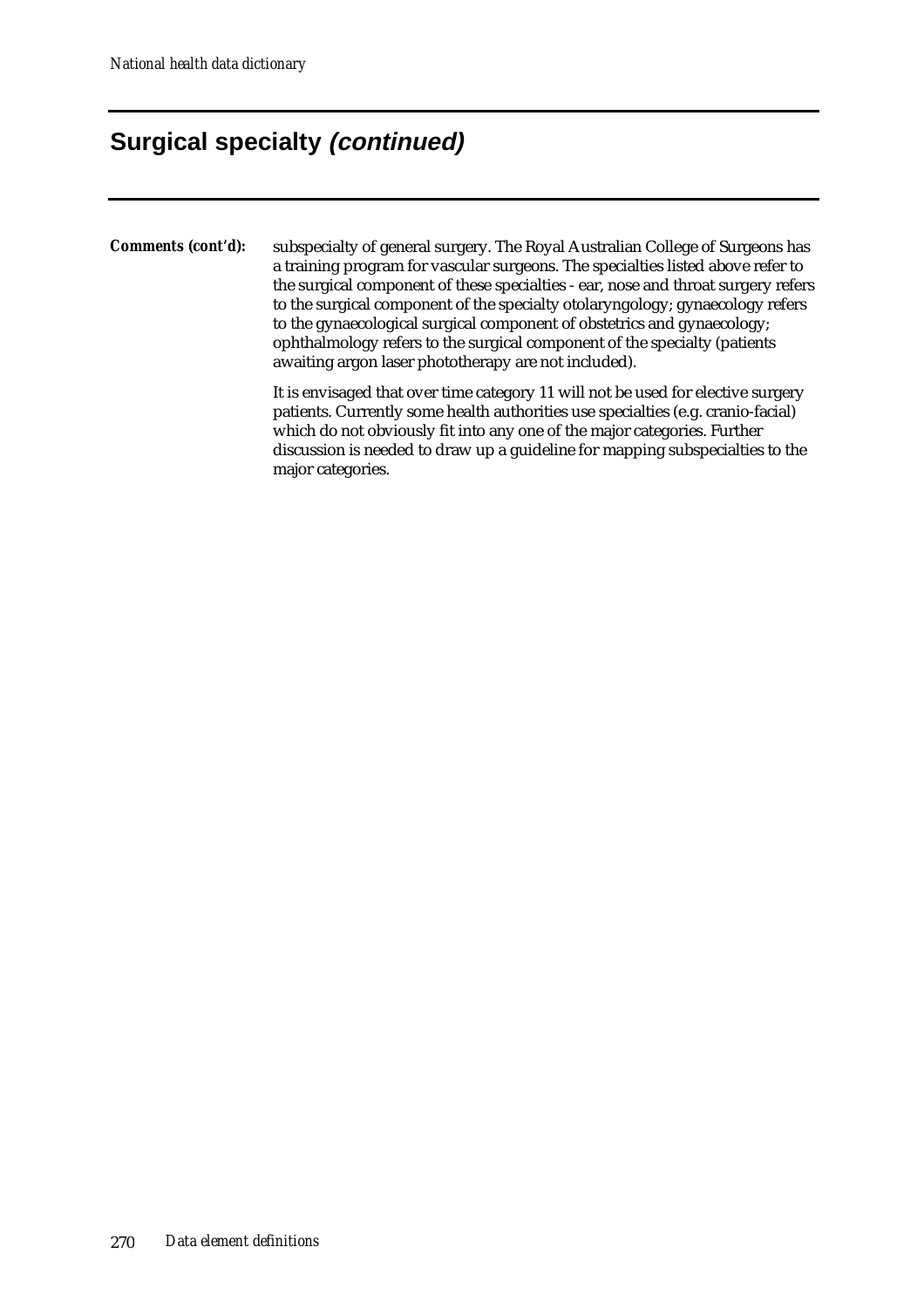## **Surgical specialty (continued)**

*Comments (cont'd):* subspecialty of general surgery. The Royal Australian College of Surgeons has a training program for vascular surgeons. The specialties listed above refer to the surgical component of these specialties - ear, nose and throat surgery refers to the surgical component of the specialty otolaryngology; gynaecology refers to the gynaecological surgical component of obstetrics and gynaecology; ophthalmology refers to the surgical component of the specialty (patients awaiting argon laser phototherapy are not included).

> It is envisaged that over time category 11 will not be used for elective surgery patients. Currently some health authorities use specialties (e.g. cranio-facial) which do not obviously fit into any one of the major categories. Further discussion is needed to draw up a guideline for mapping subspecialties to the major categories.